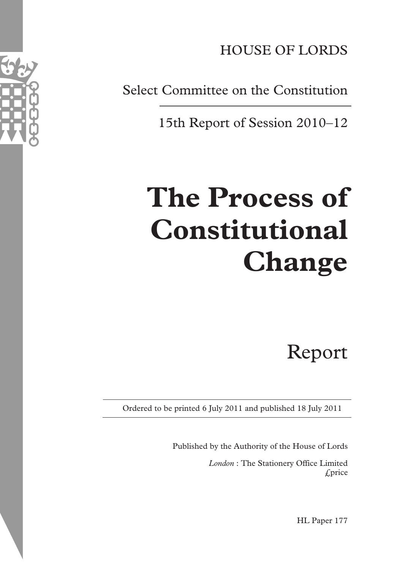

Select Committee on the Constitution

15th Report of Session 2010–12

# **The Process of Constitutional Change**

Report

Ordered to be printed 6 July 2011 and published 18 July 2011

Published by the Authority of the House of Lords

*London* : The Stationery Office Limited £price

HL Paper 177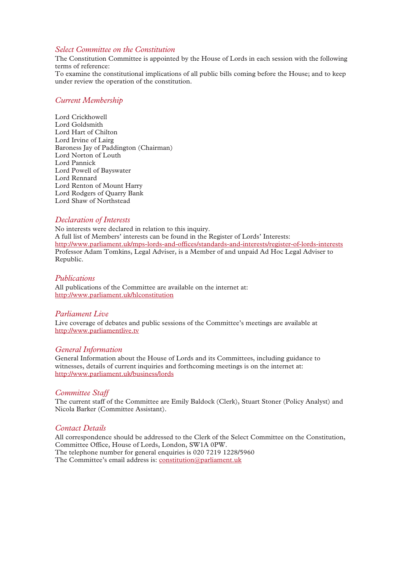#### *Select Committee on the Constitution*

The Constitution Committee is appointed by the House of Lords in each session with the following terms of reference:

To examine the constitutional implications of all public bills coming before the House; and to keep under review the operation of the constitution.

#### *Current Membership*

Lord Crickhowell Lord Goldsmith Lord Hart of Chilton Lord Irvine of Lairg Baroness Jay of Paddington (Chairman) Lord Norton of Louth Lord Pannick Lord Powell of Bayswater Lord Rennard Lord Renton of Mount Harry Lord Rodgers of Quarry Bank Lord Shaw of Northstead

#### *Declaration of Interests*

No interests were declared in relation to this inquiry. A full list of Members' interests can be found in the Register of Lords' Interests: <http://www.parliament.uk/mps-lords-and-offices/standards-and-interests/register-of-lords-interests> Professor Adam Tomkins, Legal Adviser, is a Member of and unpaid Ad Hoc Legal Adviser to Republic.

#### *Publications*

All publications of the Committee are available on the internet at: <http://www.parliament.uk/hlconstitution>

#### *Parliament Live*

Live coverage of debates and public sessions of the Committee's meetings are available at [http://www.parliamentlive.tv](http://www.parliamentlive.tv/)

#### *General Information*

General Information about the House of Lords and its Committees, including guidance to witnesses, details of current inquiries and forthcoming meetings is on the internet at: <http://www.parliament.uk/business/lords>

#### *Committee Staff*

The current staff of the Committee are Emily Baldock (Clerk), Stuart Stoner (Policy Analyst) and Nicola Barker (Committee Assistant).

#### *Contact Details*

All correspondence should be addressed to the Clerk of the Select Committee on the Constitution, Committee Office, House of Lords, London, SW1A 0PW. The telephone number for general enquiries is 020 7219 1228/5960 The Committee's email address is: [constitution@parliament.uk](mailto:constitution@parliament.uk)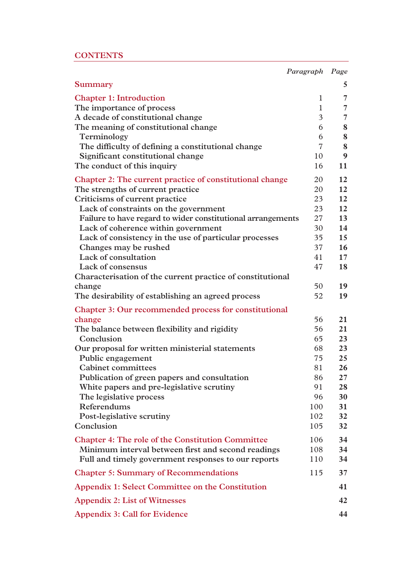# **CONTENTS**

|                                                             | Paragraph | Page           |
|-------------------------------------------------------------|-----------|----------------|
| Summary                                                     |           | 5              |
| <b>Chapter 1: Introduction</b>                              | 1         | 7              |
| The importance of process                                   | 1         | $\overline{7}$ |
| A decade of constitutional change                           | 3         | $\overline{7}$ |
| The meaning of constitutional change                        | 6         | 8              |
| Terminology                                                 | 6         | 8              |
| The difficulty of defining a constitutional change          | 7         | 8              |
| Significant constitutional change                           | 10        | 9              |
| The conduct of this inquiry                                 | 16        | 11             |
| Chapter 2: The current practice of constitutional change    | 20        | 12             |
| The strengths of current practice                           | 20        | 12             |
| Criticisms of current practice                              | 23        | 12             |
| Lack of constraints on the government                       | 23        | 12             |
| Failure to have regard to wider constitutional arrangements | 27        | 13             |
| Lack of coherence within government                         | 30        | 14             |
| Lack of consistency in the use of particular processes      | 35        | 15             |
| Changes may be rushed                                       | 37        | 16             |
| Lack of consultation                                        | 41        | 17             |
| Lack of consensus                                           | 47        | 18             |
| Characterisation of the current practice of constitutional  |           |                |
| change                                                      | 50        | 19             |
| The desirability of establishing an agreed process          | 52        | 19             |
| Chapter 3: Our recommended process for constitutional       |           |                |
| change                                                      | 56        | 21             |
| The balance between flexibility and rigidity                | 56        | 21             |
| Conclusion                                                  | 65        | 23             |
| Our proposal for written ministerial statements             | 68        | 23             |
| Public engagement                                           | 75        | 25             |
| <b>Cabinet committees</b>                                   | 81        | 26             |
| Publication of green papers and consultation                | 86        | $27\,$         |
| White papers and pre-legislative scrutiny                   | 91        | 28             |
| The legislative process<br>Referendums                      | 96<br>100 | 30<br>31       |
|                                                             | 102       | 32             |
| Post-legislative scrutiny<br>Conclusion                     | 105       | 32             |
|                                                             |           |                |
| <b>Chapter 4: The role of the Constitution Committee</b>    | 106       | 34             |
| Minimum interval between first and second readings          | 108       | 34             |
| Full and timely government responses to our reports         | 110       | 34             |
| <b>Chapter 5: Summary of Recommendations</b>                | 115       | 37             |
| Appendix 1: Select Committee on the Constitution            |           | 41             |
| <b>Appendix 2: List of Witnesses</b>                        |           | 42             |
| <b>Appendix 3: Call for Evidence</b>                        |           | 44             |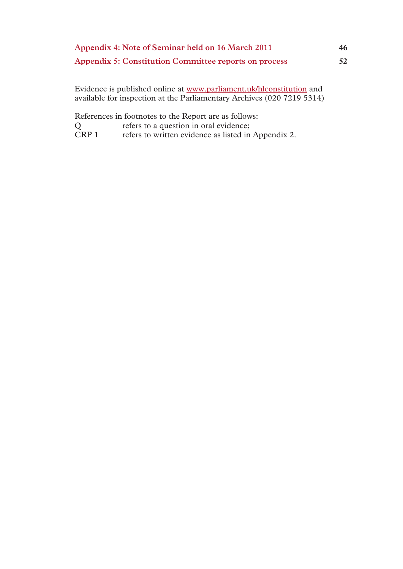| Appendix 4: Note of Seminar held on 16 March 2011     | 46 |
|-------------------------------------------------------|----|
| Appendix 5: Constitution Committee reports on process | 52 |

Evidence is published online at [www.parliament.uk/hlconstitution](http://www.parliament.uk/hlconstitution) and available for inspection at the Parliamentary Archives (020 7219 5314)

References in footnotes to the Report are as follows: Q refers to a question in oral evidence;<br>CRP 1 refers to written evidence as listed in refers to written evidence as listed in Appendix 2.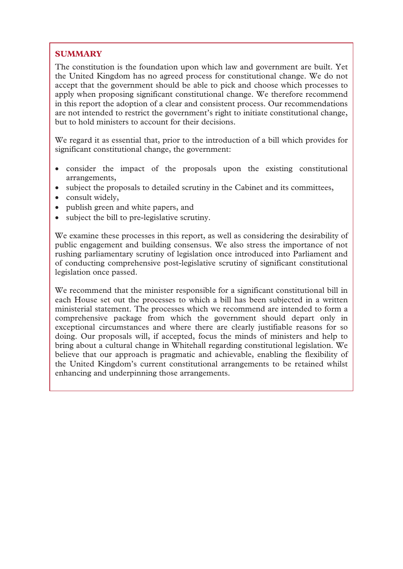# **SUMMARY**

The constitution is the foundation upon which law and government are built. Yet the United Kingdom has no agreed process for constitutional change. We do not accept that the government should be able to pick and choose which processes to apply when proposing significant constitutional change. We therefore recommend in this report the adoption of a clear and consistent process. Our recommendations are not intended to restrict the government's right to initiate constitutional change, but to hold ministers to account for their decisions.

We regard it as essential that, prior to the introduction of a bill which provides for significant constitutional change, the government:

- consider the impact of the proposals upon the existing constitutional arrangements,
- subject the proposals to detailed scrutiny in the Cabinet and its committees,
- consult widely,
- publish green and white papers, and
- subject the bill to pre-legislative scrutiny.

We examine these processes in this report, as well as considering the desirability of public engagement and building consensus. We also stress the importance of not rushing parliamentary scrutiny of legislation once introduced into Parliament and of conducting comprehensive post-legislative scrutiny of significant constitutional legislation once passed.

We recommend that the minister responsible for a significant constitutional bill in each House set out the processes to which a bill has been subjected in a written ministerial statement. The processes which we recommend are intended to form a comprehensive package from which the government should depart only in exceptional circumstances and where there are clearly justifiable reasons for so doing. Our proposals will, if accepted, focus the minds of ministers and help to bring about a cultural change in Whitehall regarding constitutional legislation. We believe that our approach is pragmatic and achievable, enabling the flexibility of the United Kingdom's current constitutional arrangements to be retained whilst enhancing and underpinning those arrangements.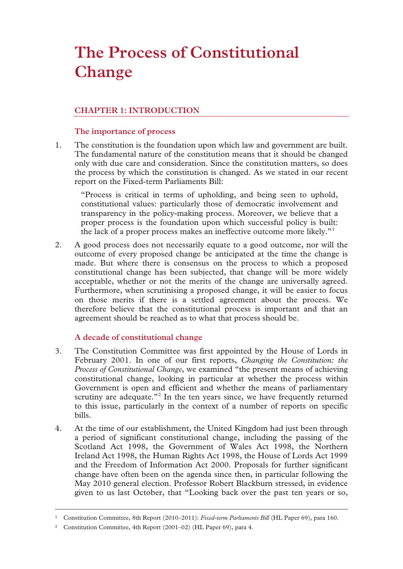# **The Process of Constitutional Change**

# **CHAPTER 1: INTRODUCTION**

# **The importance of process**

1. The constitution is the foundation upon which law and government are built. The fundamental nature of the constitution means that it should be changed only with due care and consideration. Since the constitution matters, so does the process by which the constitution is changed. As we stated in our recent report on the Fixed-term Parliaments Bill:

"Process is critical in terms of upholding, and being seen to uphold, constitutional values: particularly those of democratic involvement and transparency in the policy-making process. Moreover, we believe that a proper process is the foundation upon which successful policy is built: the lack of a proper process makes an ineffective outcome more likely."[1](#page-6-0)

2. A good process does not necessarily equate to a good outcome, nor will the outcome of every proposed change be anticipated at the time the change is made. But where there is consensus on the process to which a proposed constitutional change has been subjected, that change will be more widely acceptable, whether or not the merits of the change are universally agreed. Furthermore, when scrutinising a proposed change, it will be easier to focus on those merits if there is a settled agreement about the process. We therefore believe that the constitutional process is important and that an agreement should be reached as to what that process should be.

# **A decade of constitutional change**

- 3. The Constitution Committee was first appointed by the House of Lords in February 2001. In one of our first reports, *Changing the Constitution: the Process of Constitutional Change*, we examined "the present means of achieving constitutional change, looking in particular at whether the process within Government is open and efficient and whether the means of parliamentary scrutiny are adequate."<sup>[2](#page-6-1)</sup> In the ten years since, we have frequently returned to this issue, particularly in the context of a number of reports on specific bills.
- 4. At the time of our establishment, the United Kingdom had just been through a period of significant constitutional change, including the passing of the Scotland Act 1998, the Government of Wales Act 1998, the Northern Ireland Act 1998, the Human Rights Act 1998, the House of Lords Act 1999 and the Freedom of Information Act 2000. Proposals for further significant change have often been on the agenda since then, in particular following the May 2010 general election. Professor Robert Blackburn stressed, in evidence given to us last October, that "Looking back over the past ten years or so,

<span id="page-6-0"></span> <sup>1</sup> Constitution Committee, 8th Report (2010–2011): *Fixed-term Parliaments Bill* (HL Paper 69), para 160.

<span id="page-6-1"></span><sup>2</sup> Constitution Committee, 4th Report (2001–02) (HL Paper 69), para 4.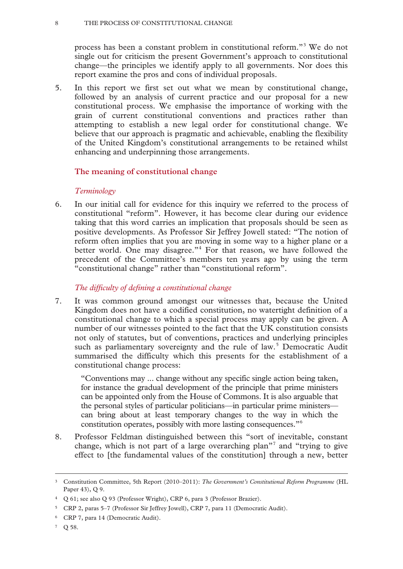#### 8 THE PROCESS OF CONSTITUTIONAL CHANGE

process has been a constant problem in constitutional reform."[3](#page-7-0) We do not single out for criticism the present Government's approach to constitutional change—the principles we identify apply to all governments. Nor does this report examine the pros and cons of individual proposals.

5. In this report we first set out what we mean by constitutional change, followed by an analysis of current practice and our proposal for a new constitutional process. We emphasise the importance of working with the grain of current constitutional conventions and practices rather than attempting to establish a new legal order for constitutional change. We believe that our approach is pragmatic and achievable, enabling the flexibility of the United Kingdom's constitutional arrangements to be retained whilst enhancing and underpinning those arrangements.

# **The meaning of constitutional change**

# *Terminology*

6. In our initial call for evidence for this inquiry we referred to the process of constitutional "reform". However, it has become clear during our evidence taking that this word carries an implication that proposals should be seen as positive developments. As Professor Sir Jeffrey Jowell stated: "The notion of reform often implies that you are moving in some way to a higher plane or a better world. One may disagree."[4](#page-7-1) For that reason, we have followed the precedent of the Committee's members ten years ago by using the term "constitutional change" rather than "constitutional reform".

# *The difficulty of defining a constitutional change*

7. It was common ground amongst our witnesses that, because the United Kingdom does not have a codified constitution, no watertight definition of a constitutional change to which a special process may apply can be given. A number of our witnesses pointed to the fact that the UK constitution consists not only of statutes, but of conventions, practices and underlying principles such as parliamentary sovereignty and the rule of law.<sup>[5](#page-7-2)</sup> Democratic Audit summarised the difficulty which this presents for the establishment of a constitutional change process:

"Conventions may ... change without any specific single action being taken, for instance the gradual development of the principle that prime ministers can be appointed only from the House of Commons. It is also arguable that the personal styles of particular politicians—in particular prime ministers can bring about at least temporary changes to the way in which the constitution operates, possibly with more lasting consequences."[6](#page-7-3)

8. Professor Feldman distinguished between this "sort of inevitable, constant change, which is not part of a large overarching plan"[7](#page-7-4) and "trying to give effect to [the fundamental values of the constitution] through a new, better

<span id="page-7-0"></span> <sup>3</sup> Constitution Committee, 5th Report (2010–2011): *The Government's Constitutional Reform Programme* (HL Paper 43), Q 9.

<span id="page-7-1"></span><sup>4</sup> Q 61; see also Q 93 (Professor Wright), CRP 6, para 3 (Professor Brazier).

<span id="page-7-2"></span><sup>5</sup> CRP 2, paras 5–7 (Professor Sir Jeffrey Jowell), CRP 7, para 11 (Democratic Audit).

<span id="page-7-3"></span><sup>6</sup> CRP 7, para 14 (Democratic Audit).

<span id="page-7-4"></span><sup>7</sup> Q 58.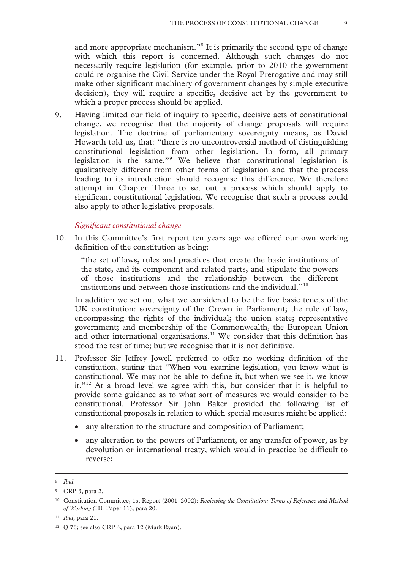and more appropriate mechanism.<sup>3[8](#page-8-0)</sup> It is primarily the second type of change with which this report is concerned. Although such changes do not necessarily require legislation (for example, prior to 2010 the government could re-organise the Civil Service under the Royal Prerogative and may still make other significant machinery of government changes by simple executive decision), they will require a specific, decisive act by the government to which a proper process should be applied.

9. Having limited our field of inquiry to specific, decisive acts of constitutional change, we recognise that the majority of change proposals will require legislation. The doctrine of parliamentary sovereignty means, as David Howarth told us, that: "there is no uncontroversial method of distinguishing constitutional legislation from other legislation. In form, all primary legislation is the same."[9](#page-8-1) We believe that constitutional legislation is qualitatively different from other forms of legislation and that the process leading to its introduction should recognise this difference. We therefore attempt in Chapter Three to set out a process which should apply to significant constitutional legislation. We recognise that such a process could also apply to other legislative proposals.

#### *Significant constitutional change*

10. In this Committee's first report ten years ago we offered our own working definition of the constitution as being:

"the set of laws, rules and practices that create the basic institutions of the state, and its component and related parts, and stipulate the powers of those institutions and the relationship between the different institutions and between those institutions and the individual."[10](#page-8-2)

In addition we set out what we considered to be the five basic tenets of the UK constitution: sovereignty of the Crown in Parliament; the rule of law, encompassing the rights of the individual; the union state; representative government; and membership of the Commonwealth, the European Union and other international organisations.<sup>[11](#page-8-3)</sup> We consider that this definition has stood the test of time; but we recognise that it is not definitive.

- 11. Professor Sir Jeffrey Jowell preferred to offer no working definition of the constitution, stating that "When you examine legislation, you know what is constitutional. We may not be able to define it, but when we see it, we know it."[12](#page-8-4) At a broad level we agree with this, but consider that it is helpful to provide some guidance as to what sort of measures we would consider to be constitutional. Professor Sir John Baker provided the following list of constitutional proposals in relation to which special measures might be applied:
	- any alteration to the structure and composition of Parliament;
	- any alteration to the powers of Parliament, or any transfer of power, as by devolution or international treaty, which would in practice be difficult to reverse;

<span id="page-8-0"></span> <sup>8</sup> *Ibid*.

<span id="page-8-1"></span><sup>9</sup> CRP 3, para 2.

<span id="page-8-2"></span><sup>10</sup> Constitution Committee, 1st Report (2001–2002): *Reviewing the Constitution: Terms of Reference and Method of Working* (HL Paper 11), para 20.

<span id="page-8-3"></span><sup>11</sup> *Ibid*, para 21.

<span id="page-8-4"></span> $12$  Q 76; see also CRP 4, para 12 (Mark Ryan).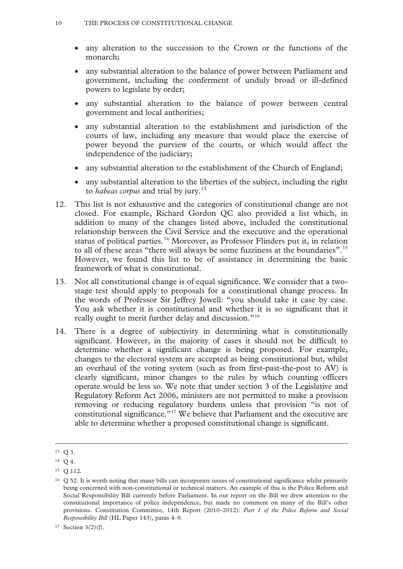- any alteration to the succession to the Crown or the functions of the monarch;
- any substantial alteration to the balance of power between Parliament and government, including the conferment of unduly broad or ill-defined powers to legislate by order;
- any substantial alteration to the balance of power between central government and local authorities;
- any substantial alteration to the establishment and jurisdiction of the courts of law, including any measure that would place the exercise of power beyond the purview of the courts, or which would affect the independence of the judiciary;
- any substantial alteration to the establishment of the Church of England;
- any substantial alteration to the liberties of the subject, including the right to *habeas corpus* and trial by jury.<sup>[13](#page-9-0)</sup>
- 12. This list is not exhaustive and the categories of constitutional change are not closed. For example, Richard Gordon QC also provided a list which, in addition to many of the changes listed above, included the constitutional relationship between the Civil Service and the executive and the operational status of political parties.<sup>[14](#page-9-1)</sup> Moreover, as Professor Flinders put it, in relation to all of these areas "there will always be some fuzziness at the boundaries".<sup>[15](#page-9-2)</sup> However, we found this list to be of assistance in determining the basic framework of what is constitutional.
- 13. Not all constitutional change is of equal significance. We consider that a twostage test should apply to proposals for a constitutional change process. In the words of Professor Sir Jeffrey Jowell: "you should take it case by case. You ask whether it is constitutional and whether it is so significant that it really ought to merit further delay and discussion."<sup>[16](#page-9-3)</sup>
- 14. There is a degree of subjectivity in determining what is constitutionally significant. However, in the majority of cases it should not be difficult to determine whether a significant change is being proposed. For example, changes to the electoral system are accepted as being constitutional but, whilst an overhaul of the voting system (such as from first-past-the-post to AV) is clearly significant, minor changes to the rules by which counting officers operate would be less so. We note that under section 3 of the Legislative and Regulatory Reform Act 2006, ministers are not permitted to make a provision removing or reducing regulatory burdens unless that provision "is not of constitutional significance."[17](#page-9-4) We believe that Parliament and the executive are able to determine whether a proposed constitutional change is significant.

<span id="page-9-0"></span> <sup>13</sup> Q 3.

<span id="page-9-1"></span><sup>14</sup> Q 4.

<span id="page-9-2"></span><sup>15</sup> Q 112.

<span id="page-9-3"></span><sup>&</sup>lt;sup>16</sup> Q 52. It is worth noting that many bills can incorporate issues of constitutional significance whilst primarily being concerned with non-constitutional or technical matters. An example of this is the Police Reform and Social Responsibility Bill currently before Parliament. In our report on the Bill we drew attention to the constitutional importance of police independence, but made no comment on many of the Bill's other provisions. Constitution Committee, 14th Report (2010–2012): *Part 1 of the Police Reform and Social Responsibility Bill* (HL Paper 143), paras 4–9.

<span id="page-9-4"></span><sup>17</sup> Section 3(2)(f).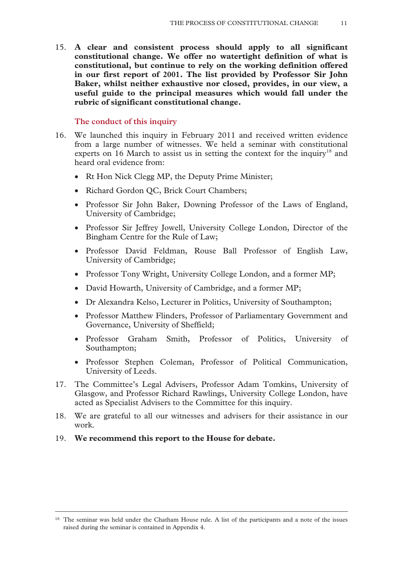15. **A clear and consistent process should apply to all significant constitutional change. We offer no watertight definition of what is constitutional, but continue to rely on the working definition offered in our first report of 2001. The list provided by Professor Sir John Baker, whilst neither exhaustive nor closed, provides, in our view, a useful guide to the principal measures which would fall under the rubric of significant constitutional change.**

#### **The conduct of this inquiry**

- 16. We launched this inquiry in February 2011 and received written evidence from a large number of witnesses. We held a seminar with constitutional experts on 16 March to assist us in setting the context for the inquiry<sup>[18](#page-10-0)</sup> and heard oral evidence from:
	- Rt Hon Nick Clegg MP, the Deputy Prime Minister;
	- Richard Gordon QC, Brick Court Chambers;
	- Professor Sir John Baker, Downing Professor of the Laws of England, University of Cambridge;
	- Professor Sir Jeffrey Jowell, University College London, Director of the Bingham Centre for the Rule of Law;
	- Professor David Feldman, Rouse Ball Professor of English Law, University of Cambridge;
	- Professor Tony Wright, University College London, and a former MP;
	- David Howarth, University of Cambridge, and a former MP;
	- Dr Alexandra Kelso, Lecturer in Politics, University of Southampton;
	- Professor Matthew Flinders, Professor of Parliamentary Government and Governance, University of Sheffield;
	- Professor Graham Smith, Professor of Politics, University of Southampton;
	- Professor Stephen Coleman, Professor of Political Communication, University of Leeds.
- 17. The Committee's Legal Advisers, Professor Adam Tomkins, University of Glasgow, and Professor Richard Rawlings, University College London, have acted as Specialist Advisers to the Committee for this inquiry.
- 18. We are grateful to all our witnesses and advisers for their assistance in our work.
- 19. **We recommend this report to the House for debate.**

<span id="page-10-0"></span><sup>&</sup>lt;sup>18</sup> The seminar was held under the Chatham House rule. A list of the participants and a note of the issues raised during the seminar is contained in Appendix 4.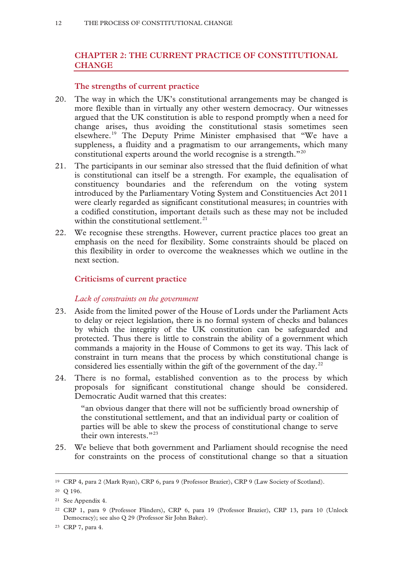# **CHAPTER 2: THE CURRENT PRACTICE OF CONSTITUTIONAL CHANGE**

# **The strengths of current practice**

- 20. The way in which the UK's constitutional arrangements may be changed is more flexible than in virtually any other western democracy. Our witnesses argued that the UK constitution is able to respond promptly when a need for change arises, thus avoiding the constitutional stasis sometimes seen elsewhere.[19](#page-11-0) The Deputy Prime Minister emphasised that "We have a suppleness, a fluidity and a pragmatism to our arrangements, which many constitutional experts around the world recognise is a strength."[20](#page-11-1)
- 21. The participants in our seminar also stressed that the fluid definition of what is constitutional can itself be a strength. For example, the equalisation of constituency boundaries and the referendum on the voting system introduced by the Parliamentary Voting System and Constituencies Act 2011 were clearly regarded as significant constitutional measures; in countries with a codified constitution, important details such as these may not be included within the constitutional settlement.<sup>[21](#page-11-2)</sup>
- 22. We recognise these strengths. However, current practice places too great an emphasis on the need for flexibility. Some constraints should be placed on this flexibility in order to overcome the weaknesses which we outline in the next section.

#### **Criticisms of current practice**

#### *Lack of constraints on the government*

- 23. Aside from the limited power of the House of Lords under the Parliament Acts to delay or reject legislation, there is no formal system of checks and balances by which the integrity of the UK constitution can be safeguarded and protected. Thus there is little to constrain the ability of a government which commands a majority in the House of Commons to get its way. This lack of constraint in turn means that the process by which constitutional change is considered lies essentially within the gift of the government of the day. $^{22}$  $^{22}$  $^{22}$
- 24. There is no formal, established convention as to the process by which proposals for significant constitutional change should be considered. Democratic Audit warned that this creates:

"an obvious danger that there will not be sufficiently broad ownership of the constitutional settlement, and that an individual party or coalition of parties will be able to skew the process of constitutional change to serve their own interests."<sup>[23](#page-11-4)</sup>

25. We believe that both government and Parliament should recognise the need for constraints on the process of constitutional change so that a situation

<span id="page-11-0"></span> <sup>19</sup> CRP 4, para 2 (Mark Ryan), CRP 6, para 9 (Professor Brazier), CRP 9 (Law Society of Scotland).

<span id="page-11-1"></span><sup>20</sup> Q 196.

<span id="page-11-2"></span><sup>21</sup> See Appendix 4.

<span id="page-11-3"></span><sup>22</sup> CRP 1, para 9 (Professor Flinders), CRP 6, para 19 (Professor Brazier), CRP 13, para 10 (Unlock Democracy); see also Q 29 (Professor Sir John Baker).

<span id="page-11-4"></span><sup>23</sup> CRP 7, para 4.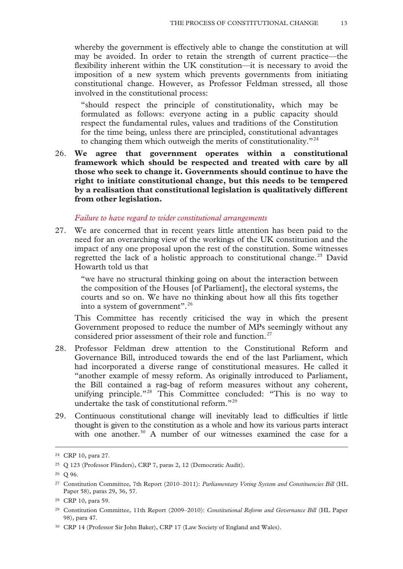whereby the government is effectively able to change the constitution at will may be avoided. In order to retain the strength of current practice—the flexibility inherent within the UK constitution—it is necessary to avoid the imposition of a new system which prevents governments from initiating constitutional change. However, as Professor Feldman stressed, all those involved in the constitutional process:

"should respect the principle of constitutionality, which may be formulated as follows: everyone acting in a public capacity should respect the fundamental rules, values and traditions of the Constitution for the time being, unless there are principled, constitutional advantages to changing them which outweigh the merits of constitutionality."<sup>[24](#page-12-0)</sup>

26. **We agree that government operates within a constitutional framework which should be respected and treated with care by all those who seek to change it. Governments should continue to have the right to initiate constitutional change, but this needs to be tempered by a realisation that constitutional legislation is qualitatively different from other legislation.**

#### *Failure to have regard to wider constitutional arrangements*

27. We are concerned that in recent years little attention has been paid to the need for an overarching view of the workings of the UK constitution and the impact of any one proposal upon the rest of the constitution. Some witnesses regretted the lack of a holistic approach to constitutional change.<sup>[25](#page-12-1)</sup> David Howarth told us that

"we have no structural thinking going on about the interaction between the composition of the Houses [of Parliament], the electoral systems, the courts and so on. We have no thinking about how all this fits together into a system of government".[26](#page-12-2)

This Committee has recently criticised the way in which the present Government proposed to reduce the number of MPs seemingly without any considered prior assessment of their role and function.<sup>[27](#page-12-3)</sup>

- 28. Professor Feldman drew attention to the Constitutional Reform and Governance Bill, introduced towards the end of the last Parliament, which had incorporated a diverse range of constitutional measures. He called it "another example of messy reform. As originally introduced to Parliament, the Bill contained a rag-bag of reform measures without any coherent, unifying principle."<sup>[28](#page-12-4)</sup> This Committee concluded: "This is no way to undertake the task of constitutional reform."[29](#page-12-5)
- 29. Continuous constitutional change will inevitably lead to difficulties if little thought is given to the constitution as a whole and how its various parts interact with one another.<sup>[30](#page-12-6)</sup> A number of our witnesses examined the case for a

<span id="page-12-0"></span> <sup>24</sup> CRP 10, para 27.

<span id="page-12-1"></span><sup>25</sup> Q 123 (Professor Flinders), CRP 7, paras 2, 12 (Democratic Audit).

<span id="page-12-2"></span><sup>26</sup> Q 96.

<span id="page-12-3"></span><sup>27</sup> Constitution Committee, 7th Report (2010–2011): *Parliamentary Voting System and Constituencies Bill* (HL Paper 58), paras 29, 36, 57.

<span id="page-12-4"></span><sup>28</sup> CRP 10, para 59.

<span id="page-12-5"></span><sup>29</sup> Constitution Committee, 11th Report (2009–2010): *Constitutional Reform and Governance Bill* (HL Paper 98), para 47.

<span id="page-12-6"></span><sup>30</sup> CRP 14 (Professor Sir John Baker), CRP 17 (Law Society of England and Wales).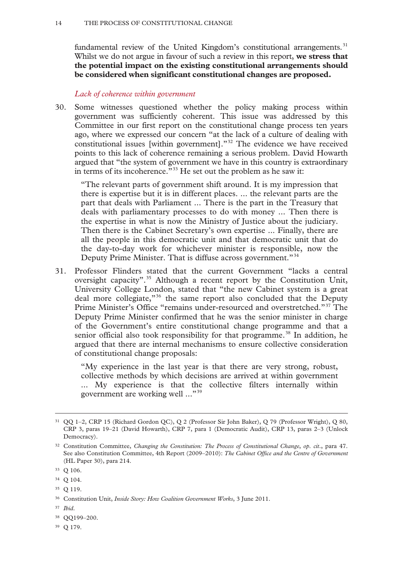fundamental review of the United Kingdom's constitutional arrangements.<sup>[31](#page-13-0)</sup> Whilst we do not argue in favour of such a review in this report, **we stress that the potential impact on the existing constitutional arrangements should be considered when significant constitutional changes are proposed.**

#### *Lack of coherence within government*

30. Some witnesses questioned whether the policy making process within government was sufficiently coherent. This issue was addressed by this Committee in our first report on the constitutional change process ten years ago, where we expressed our concern "at the lack of a culture of dealing with constitutional issues [within government]."[32](#page-13-1) The evidence we have received points to this lack of coherence remaining a serious problem. David Howarth argued that "the system of government we have in this country is extraordinary in terms of its incoherence."<sup>[33](#page-13-2)</sup> He set out the problem as he saw it:

"The relevant parts of government shift around. It is my impression that there is expertise but it is in different places. ... the relevant parts are the part that deals with Parliament ... There is the part in the Treasury that deals with parliamentary processes to do with money ... Then there is the expertise in what is now the Ministry of Justice about the judiciary. Then there is the Cabinet Secretary's own expertise ... Finally, there are all the people in this democratic unit and that democratic unit that do the day-to-day work for whichever minister is responsible, now the Deputy Prime Minister. That is diffuse across government."<sup>[34](#page-13-3)</sup>

31. Professor Flinders stated that the current Government "lacks a central oversight capacity".<sup>[35](#page-13-4)</sup> Although a recent report by the Constitution Unit, University College London, stated that "the new Cabinet system is a great deal more collegiate,"[36](#page-13-5) the same report also concluded that the Deputy Prime Minister's Office "remains under-resourced and overstretched."<sup>[37](#page-13-6)</sup> The Deputy Prime Minister confirmed that he was the senior minister in charge of the Government's entire constitutional change programme and that a senior official also took responsibility for that programme.<sup>[38](#page-13-7)</sup> In addition, he argued that there are internal mechanisms to ensure collective consideration of constitutional change proposals:

"My experience in the last year is that there are very strong, robust, collective methods by which decisions are arrived at within government ... My experience is that the collective filters internally within government are working well ..."[39](#page-13-8)

<span id="page-13-8"></span><sup>39</sup> Q 179.

<span id="page-13-0"></span> <sup>31</sup> QQ 1–2, CRP 15 (Richard Gordon QC), Q 2 (Professor Sir John Baker), Q 79 (Professor Wright), Q 80, CRP 3, paras 19–21 (David Howarth), CRP 7, para 1 (Democratic Audit), CRP 13, paras 2–3 (Unlock Democracy).

<span id="page-13-1"></span><sup>32</sup> Constitution Committee, *Changing the Constitution: The Process of Constitutional Change*, *op*. *cit*., para 47. See also Constitution Committee, 4th Report (2009–2010): *The Cabinet Office and the Centre of Government* (HL Paper 30), para 214.

<span id="page-13-2"></span><sup>33</sup> Q 106.

<span id="page-13-3"></span><sup>34</sup> Q 104.

<span id="page-13-4"></span><sup>35</sup> Q 119.

<span id="page-13-5"></span><sup>36</sup> Constitution Unit, *Inside Story: How Coalition Government Works*, 3 June 2011.

<span id="page-13-6"></span><sup>37</sup> *Ibid*.

<span id="page-13-7"></span><sup>38</sup> QQ199–200.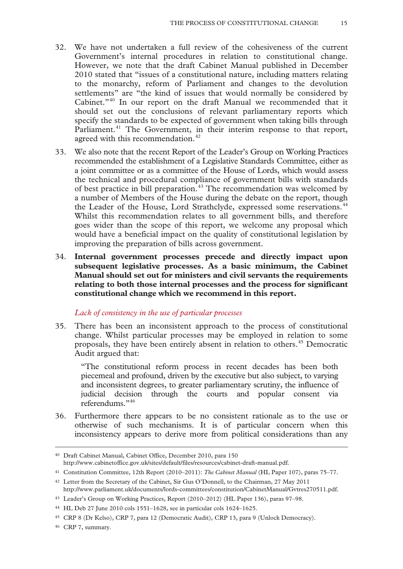- 32. We have not undertaken a full review of the cohesiveness of the current Government's internal procedures in relation to constitutional change. However, we note that the draft Cabinet Manual published in December 2010 stated that "issues of a constitutional nature, including matters relating to the monarchy, reform of Parliament and changes to the devolution settlements" are "the kind of issues that would normally be considered by Cabinet."[40](#page-14-0) In our report on the draft Manual we recommended that it should set out the conclusions of relevant parliamentary reports which specify the standards to be expected of government when taking bills through Parliament.<sup>[41](#page-14-1)</sup> The Government, in their interim response to that report, agreed with this recommendation.<sup>[42](#page-14-2)</sup>
- 33. We also note that the recent Report of the Leader's Group on Working Practices recommended the establishment of a Legislative Standards Committee, either as a joint committee or as a committee of the House of Lords, which would assess the technical and procedural compliance of government bills with standards of best practice in bill preparation.<sup>[43](#page-14-3)</sup> The recommendation was welcomed by a number of Members of the House during the debate on the report, though the Leader of the House, Lord Strathclyde, expressed some reservations.<sup>[44](#page-14-4)</sup> Whilst this recommendation relates to all government bills, and therefore goes wider than the scope of this report, we welcome any proposal which would have a beneficial impact on the quality of constitutional legislation by improving the preparation of bills across government.
- 34. **Internal government processes precede and directly impact upon subsequent legislative processes. As a basic minimum, the Cabinet Manual should set out for ministers and civil servants the requirements relating to both those internal processes and the process for significant constitutional change which we recommend in this report.**

#### *Lack of consistency in the use of particular processes*

35. There has been an inconsistent approach to the process of constitutional change. Whilst particular processes may be employed in relation to some proposals, they have been entirely absent in relation to others.[45](#page-14-5) Democratic Audit argued that:

"The constitutional reform process in recent decades has been both piecemeal and profound, driven by the executive but also subject, to varying and inconsistent degrees, to greater parliamentary scrutiny, the influence of judicial decision through the courts and popular consent via referendums."[46](#page-14-6)

36. Furthermore there appears to be no consistent rationale as to the use or otherwise of such mechanisms. It is of particular concern when this inconsistency appears to derive more from political considerations than any

<span id="page-14-0"></span> <sup>40</sup> Draft Cabinet Manual, Cabinet Office, December 2010, para 150 http://www.cabinetoffice.gov.uk/sites/default/files/resources/cabinet-draft-manual.pdf.

<span id="page-14-1"></span><sup>41</sup> Constitution Committee, 12th Report (2010–2011): *The Cabinet Manual* (HL Paper 107), paras 75–77.

<span id="page-14-2"></span><sup>42</sup> Letter from the Secretary of the Cabinet, Sir Gus O'Donnell, to the Chairman, 27 May 2011 http://www.parliament.uk/documents/lords-committees/constitution/CabinetManual/Gvtres270511.pdf.

<span id="page-14-3"></span><sup>43</sup> Leader's Group on Working Practices, Report (2010–2012) (HL Paper 136), paras 97–98.

<span id="page-14-4"></span><sup>44</sup> HL Deb 27 June 2010 cols 1551–1628, see in particular cols 1624–1625.

<span id="page-14-5"></span><sup>45</sup> CRP 8 (Dr Kelso), CRP 7, para 12 (Democratic Audit), CRP 13, para 9 (Unlock Democracy).

<span id="page-14-6"></span><sup>46</sup> CRP 7, summary.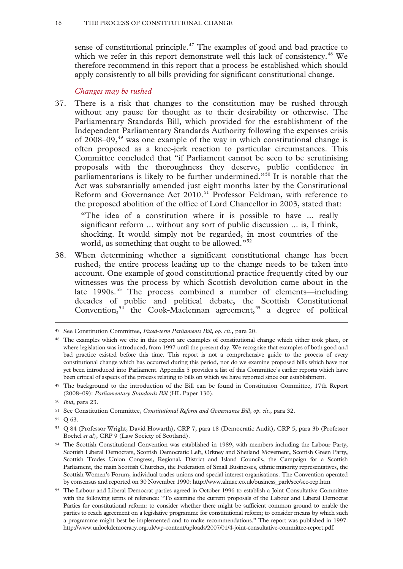sense of constitutional principle.<sup> $47$ </sup> The examples of good and bad practice to which we refer in this report demonstrate well this lack of consistency.<sup>[48](#page-15-1)</sup> We therefore recommend in this report that a process be established which should apply consistently to all bills providing for significant constitutional change.

# *Changes may be rushed*

37. There is a risk that changes to the constitution may be rushed through without any pause for thought as to their desirability or otherwise. The Parliamentary Standards Bill, which provided for the establishment of the Independent Parliamentary Standards Authority following the expenses crisis of  $2008-09$ ,<sup>[49](#page-15-2)</sup> was one example of the way in which constitutional change is often proposed as a knee-jerk reaction to particular circumstances. This Committee concluded that "if Parliament cannot be seen to be scrutinising proposals with the thoroughness they deserve, public confidence in parliamentarians is likely to be further undermined." $\frac{50}{10}$  $\frac{50}{10}$  $\frac{50}{10}$  It is notable that the Act was substantially amended just eight months later by the Constitutional Reform and Governance Act 2010.<sup>[51](#page-15-4)</sup> Professor Feldman, with reference to the proposed abolition of the office of Lord Chancellor in 2003, stated that:

"The idea of a constitution where it is possible to have ... really significant reform ... without any sort of public discussion ... is, I think, shocking. It would simply not be regarded, in most countries of the world, as something that ought to be allowed."<sup>[52](#page-15-5)</sup>

38. When determining whether a significant constitutional change has been rushed, the entire process leading up to the change needs to be taken into account. One example of good constitutional practice frequently cited by our witnesses was the process by which Scottish devolution came about in the late 1990s.<sup>[53](#page-15-6)</sup> The process combined a number of elements—including decades of public and political debate, the Scottish Constitutional Convention,<sup>[54](#page-15-7)</sup> the Cook-Maclennan agreement,<sup>[55](#page-15-8)</sup> a degree of political

<span id="page-15-0"></span> <sup>47</sup> See Constitution Committee, *Fixed-term Parliaments Bill*, *op*. *cit*., para 20.

<span id="page-15-1"></span><sup>48</sup> The examples which we cite in this report are examples of constitutional change which either took place, or where legislation was introduced, from 1997 until the present day. We recognise that examples of both good and bad practice existed before this time. This report is not a comprehensive guide to the process of every constitutional change which has occurred during this period, nor do we examine proposed bills which have not yet been introduced into Parliament. Appendix 5 provides a list of this Committee's earlier reports which have been critical of aspects of the process relating to bills on which we have reported since our establishment.

<span id="page-15-2"></span><sup>49</sup> The background to the introduction of the Bill can be found in Constitution Committee, 17th Report (2008–09): *Parliamentary Standards Bill* (HL Paper 130).

<span id="page-15-3"></span><sup>50</sup> *Ibid*, para 23.

<span id="page-15-4"></span><sup>51</sup> See Constitution Committee, *Constitutional Reform and Governance Bill*, *op*. *cit*., para 32.

<span id="page-15-5"></span><sup>52</sup>  $\Omega$  63.

<span id="page-15-6"></span><sup>53</sup> Q 84 (Professor Wright, David Howarth), CRP 7, para 18 (Democratic Audit), CRP 5, para 3b (Professor Bochel *et al*), CRP 9 (Law Society of Scotland).

<span id="page-15-7"></span><sup>54</sup> The Scottish Constitutional Convention was established in 1989, with members including the Labour Party, Scottish Liberal Democrats, Scottish Democratic Left, Orkney and Shetland Movement, Scottish Green Party, Scottish Trades Union Congress, Regional, District and Island Councils, the Campaign for a Scottish Parliament, the main Scottish Churches, the Federation of Small Businesses, ethnic minority representatives, the Scottish Women's Forum, individual trades unions and special interest organisations. The Convention operated by consensus and reported on 30 November 1990: http://www.almac.co.uk/business\_park/scc/scc-rep.htm

<span id="page-15-8"></span><sup>55</sup> The Labour and Liberal Democrat parties agreed in October 1996 to establish a Joint Consultative Committee with the following terms of reference: "To examine the current proposals of the Labour and Liberal Democrat Parties for constitutional reform: to consider whether there might be sufficient common ground to enable the parties to reach agreement on a legislative programme for constitutional reform; to consider means by which such a programme might best be implemented and to make recommendations." The report was published in 1997: http://www.unlockdemocracy.org.uk/wp-content/uploads/2007/01/4-joint-consultative-committee-report.pdf.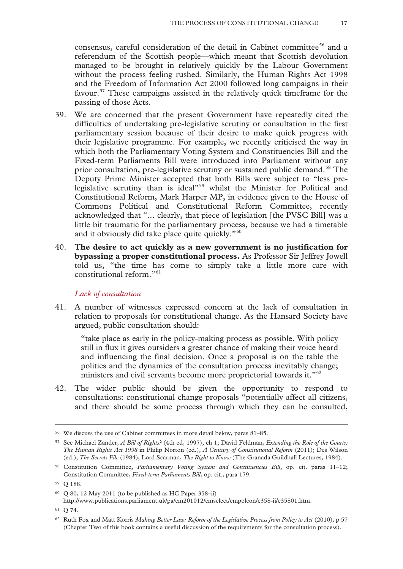consensus, careful consideration of the detail in Cabinet committee<sup>[56](#page-16-0)</sup> and a referendum of the Scottish people—which meant that Scottish devolution managed to be brought in relatively quickly by the Labour Government without the process feeling rushed. Similarly, the Human Rights Act 1998 and the Freedom of Information Act 2000 followed long campaigns in their favour.[57](#page-16-1) These campaigns assisted in the relatively quick timeframe for the passing of those Acts.

- 39. We are concerned that the present Government have repeatedly cited the difficulties of undertaking pre-legislative scrutiny or consultation in the first parliamentary session because of their desire to make quick progress with their legislative programme. For example, we recently criticised the way in which both the Parliamentary Voting System and Constituencies Bill and the Fixed-term Parliaments Bill were introduced into Parliament without any prior consultation, pre-legislative scrutiny or sustained public demand.<sup>[58](#page-16-2)</sup> The Deputy Prime Minister accepted that both Bills were subject to "less prelegislative scrutiny than is ideal"[59](#page-16-3) whilst the Minister for Political and Constitutional Reform, Mark Harper MP, in evidence given to the House of Commons Political and Constitutional Reform Committee, recently acknowledged that "... clearly, that piece of legislation [the PVSC Bill] was a little bit traumatic for the parliamentary process, because we had a timetable and it obviously did take place quite quickly."<sup>[60](#page-16-4)</sup>
- 40. **The desire to act quickly as a new government is no justification for bypassing a proper constitutional process.** As Professor Sir Jeffrey Jowell told us, "the time has come to simply take a little more care with constitutional reform."<sup>[61](#page-16-5)</sup>

#### *Lack of consultation*

41. A number of witnesses expressed concern at the lack of consultation in relation to proposals for constitutional change. As the Hansard Society have argued, public consultation should:

"take place as early in the policy-making process as possible. With policy still in flux it gives outsiders a greater chance of making their voice heard and influencing the final decision. Once a proposal is on the table the politics and the dynamics of the consultation process inevitably change; ministers and civil servants become more proprietorial towards it."<sup>[62](#page-16-6)</sup>

42. The wider public should be given the opportunity to respond to consultations: constitutional change proposals "potentially affect all citizens, and there should be some process through which they can be consulted,

<span id="page-16-0"></span> <sup>56</sup> We discuss the use of Cabinet committees in more detail below, paras 81–85.

<span id="page-16-1"></span><sup>57</sup> See Michael Zander, *A Bill of Rights?* (4th ed, 1997), ch 1; David Feldman, *Extending the Role of the Courts: The Human Rights Act 1998* in Philip Norton (ed.), *A Century of Constitutional Reform* (2011); Des Wilson (ed.), *The Secrets File* (1984); Lord Scarman, *The Right to Know* (The Granada Guildhall Lectures, 1984).

<span id="page-16-2"></span><sup>58</sup> Constitution Committee, *Parliamentary Voting System and Constituencies Bill*, op. cit. paras 11–12; Constitution Committee, *Fixed-term Parliaments Bill*, op. cit., para 179.

<span id="page-16-3"></span><sup>59</sup> Q 188.

<span id="page-16-4"></span> $60$  O 80, 12 May 2011 (to be published as HC Paper 358–ii) http://www.publications.parliament.uk/pa/cm201012/cmselect/cmpolcon/c358-ii/c35801.htm.

<span id="page-16-5"></span><sup>61</sup> Q 74.

<span id="page-16-6"></span><sup>62</sup> Ruth Fox and Matt Korris *Making Better Law: Reform of the Legislative Process from Policy to Act* (2010), p 57 (Chapter Two of this book contains a useful discussion of the requirements for the consultation process).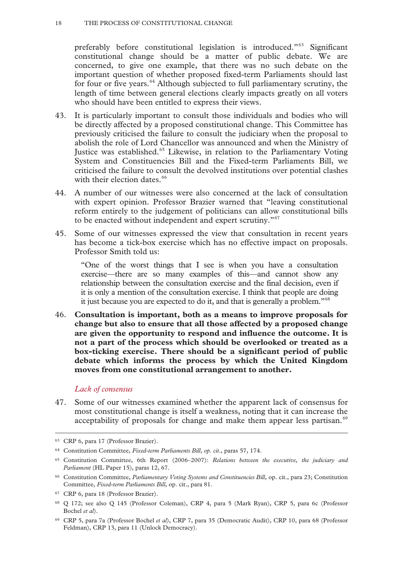#### 18 THE PROCESS OF CONSTITUTIONAL CHANGE

preferably before constitutional legislation is introduced."[63](#page-17-0) Significant constitutional change should be a matter of public debate. We are concerned, to give one example, that there was no such debate on the important question of whether proposed fixed-term Parliaments should last for four or five years.<sup>[64](#page-17-1)</sup> Although subjected to full parliamentary scrutiny, the length of time between general elections clearly impacts greatly on all voters who should have been entitled to express their views.

- 43. It is particularly important to consult those individuals and bodies who will be directly affected by a proposed constitutional change. This Committee has previously criticised the failure to consult the judiciary when the proposal to abolish the role of Lord Chancellor was announced and when the Ministry of Justice was established.<sup>[65](#page-17-2)</sup> Likewise, in relation to the Parliamentary Voting System and Constituencies Bill and the Fixed-term Parliaments Bill, we criticised the failure to consult the devolved institutions over potential clashes with their election dates.<sup>[66](#page-17-3)</sup>
- 44. A number of our witnesses were also concerned at the lack of consultation with expert opinion. Professor Brazier warned that "leaving constitutional reform entirely to the judgement of politicians can allow constitutional bills to be enacted without independent and expert scrutiny."<sup>[67](#page-17-4)</sup>
- 45. Some of our witnesses expressed the view that consultation in recent years has become a tick-box exercise which has no effective impact on proposals. Professor Smith told us:

"One of the worst things that I see is when you have a consultation exercise—there are so many examples of this—and cannot show any relationship between the consultation exercise and the final decision, even if it is only a mention of the consultation exercise. I think that people are doing it just because you are expected to do it, and that is generally a problem."[68](#page-17-5)

46. **Consultation is important, both as a means to improve proposals for change but also to ensure that all those affected by a proposed change are given the opportunity to respond and influence the outcome. It is not a part of the process which should be overlooked or treated as a box-ticking exercise. There should be a significant period of public debate which informs the process by which the United Kingdom moves from one constitutional arrangement to another.**

#### *Lack of consensus*

47. Some of our witnesses examined whether the apparent lack of consensus for most constitutional change is itself a weakness, noting that it can increase the acceptability of proposals for change and make them appear less partisan.<sup>[69](#page-17-6)</sup>

<span id="page-17-0"></span> <sup>63</sup> CRP 6, para 17 (Professor Brazier).

<span id="page-17-1"></span><sup>64</sup> Constitution Committee, *Fixed-term Parliaments Bill*, *op*. *cit*., paras 57, 174.

<span id="page-17-2"></span><sup>65</sup> Constitution Committee, 6th Report (2006–2007): *Relations between the executive, the judiciary and Parliament* (HL Paper 15), paras 12, 67.

<span id="page-17-3"></span><sup>66</sup> Constitution Committee, *Parliamentary Voting Systems and Constituencies Bill*, op. cit., para 23; Constitution Committee, *Fixed-term Parliaments Bill*, op. cit., para 81.

<span id="page-17-4"></span><sup>67</sup> CRP 6, para 18 (Professor Brazier).

<span id="page-17-5"></span><sup>68</sup> Q 172; see also Q 145 (Professor Coleman), CRP 4, para 5 (Mark Ryan), CRP 5, para 6c (Professor Bochel *et al*).

<span id="page-17-6"></span><sup>69</sup> CRP 5, para 7a (Professor Bochel *et al*), CRP 7, para 35 (Democratic Audit), CRP 10, para 68 (Professor Feldman), CRP 13, para 11 (Unlock Democracy).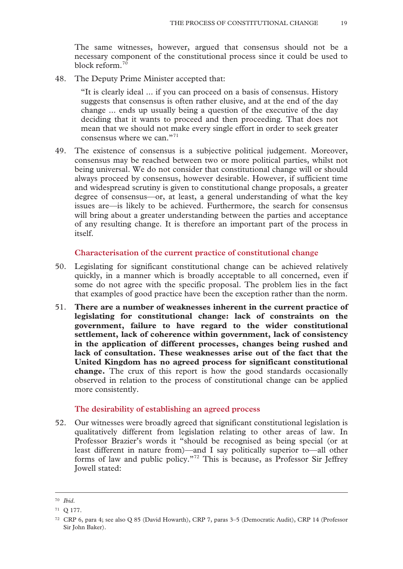The same witnesses, however, argued that consensus should not be a necessary component of the constitutional process since it could be used to block reform  $70$ 

48. The Deputy Prime Minister accepted that:

"It is clearly ideal ... if you can proceed on a basis of consensus. History suggests that consensus is often rather elusive, and at the end of the day change ... ends up usually being a question of the executive of the day deciding that it wants to proceed and then proceeding. That does not mean that we should not make every single effort in order to seek greater consensus where we can."<sup>[71](#page-18-1)</sup>

49. The existence of consensus is a subjective political judgement. Moreover, consensus may be reached between two or more political parties, whilst not being universal. We do not consider that constitutional change will or should always proceed by consensus, however desirable. However, if sufficient time and widespread scrutiny is given to constitutional change proposals, a greater degree of consensus—or, at least, a general understanding of what the key issues are—is likely to be achieved. Furthermore, the search for consensus will bring about a greater understanding between the parties and acceptance of any resulting change. It is therefore an important part of the process in itself.

#### **Characterisation of the current practice of constitutional change**

- 50. Legislating for significant constitutional change can be achieved relatively quickly, in a manner which is broadly acceptable to all concerned, even if some do not agree with the specific proposal. The problem lies in the fact that examples of good practice have been the exception rather than the norm.
- 51. **There are a number of weaknesses inherent in the current practice of legislating for constitutional change: lack of constraints on the government, failure to have regard to the wider constitutional settlement, lack of coherence within government, lack of consistency in the application of different processes, changes being rushed and lack of consultation. These weaknesses arise out of the fact that the United Kingdom has no agreed process for significant constitutional change.** The crux of this report is how the good standards occasionally observed in relation to the process of constitutional change can be applied more consistently.

#### **The desirability of establishing an agreed process**

52. Our witnesses were broadly agreed that significant constitutional legislation is qualitatively different from legislation relating to other areas of law. In Professor Brazier's words it "should be recognised as being special (or at least different in nature from)—and I say politically superior to—all other forms of law and public policy."[72](#page-18-2) This is because, as Professor Sir Jeffrey Jowell stated:

<span id="page-18-0"></span> <sup>70</sup> *Ibid*.

<span id="page-18-1"></span><sup>71</sup> Q 177.

<span id="page-18-2"></span><sup>72</sup> CRP 6, para 4; see also Q 85 (David Howarth), CRP 7, paras 3–5 (Democratic Audit), CRP 14 (Professor Sir John Baker).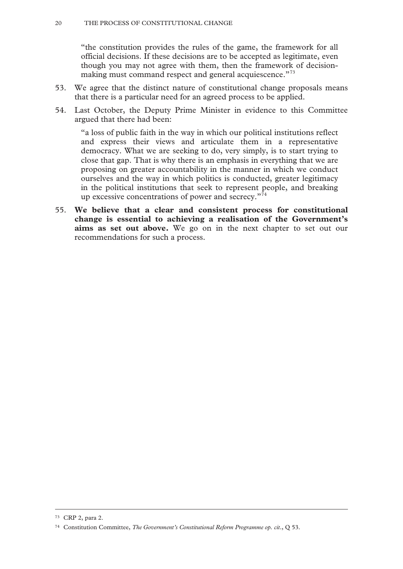"the constitution provides the rules of the game, the framework for all official decisions. If these decisions are to be accepted as legitimate, even though you may not agree with them, then the framework of decision-making must command respect and general acquiescence."<sup>[73](#page-19-0)</sup>

- 53. We agree that the distinct nature of constitutional change proposals means that there is a particular need for an agreed process to be applied.
- 54. Last October, the Deputy Prime Minister in evidence to this Committee argued that there had been:

"a loss of public faith in the way in which our political institutions reflect and express their views and articulate them in a representative democracy. What we are seeking to do, very simply, is to start trying to close that gap. That is why there is an emphasis in everything that we are proposing on greater accountability in the manner in which we conduct ourselves and the way in which politics is conducted, greater legitimacy in the political institutions that seek to represent people, and breaking up excessive concentrations of power and secrecy."[74](#page-19-1)

55. **We believe that a clear and consistent process for constitutional change is essential to achieving a realisation of the Government's aims as set out above.** We go on in the next chapter to set out our recommendations for such a process.

<span id="page-19-0"></span> <sup>73</sup> CRP 2, para 2.

<span id="page-19-1"></span><sup>74</sup> Constitution Committee, *The Government's Constitutional Reform Programme op. cit*., Q 53.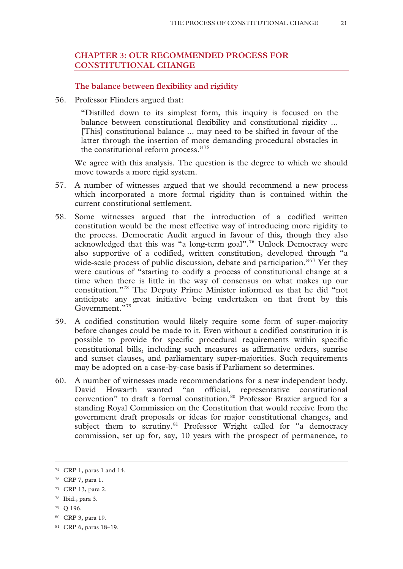# **CHAPTER 3: OUR RECOMMENDED PROCESS FOR CONSTITUTIONAL CHANGE**

#### **The balance between flexibility and rigidity**

56. Professor Flinders argued that:

"Distilled down to its simplest form, this inquiry is focused on the balance between constitutional flexibility and constitutional rigidity ... [This] constitutional balance ... may need to be shifted in favour of the latter through the insertion of more demanding procedural obstacles in the constitutional reform process."<sup>[75](#page-20-0)</sup>

We agree with this analysis. The question is the degree to which we should move towards a more rigid system.

- 57. A number of witnesses argued that we should recommend a new process which incorporated a more formal rigidity than is contained within the current constitutional settlement.
- 58. Some witnesses argued that the introduction of a codified written constitution would be the most effective way of introducing more rigidity to the process. Democratic Audit argued in favour of this, though they also acknowledged that this was "a long-term goal".<sup>[76](#page-20-1)</sup> Unlock Democracy were also supportive of a codified, written constitution, developed through "a wide-scale process of public discussion, debate and participation."<sup>[77](#page-20-2)</sup> Yet they were cautious of "starting to codify a process of constitutional change at a time when there is little in the way of consensus on what makes up our constitution."[78](#page-20-3) The Deputy Prime Minister informed us that he did "not anticipate any great initiative being undertaken on that front by this Government."<sup>[79](#page-20-4)</sup>
- 59. A codified constitution would likely require some form of super-majority before changes could be made to it. Even without a codified constitution it is possible to provide for specific procedural requirements within specific constitutional bills, including such measures as affirmative orders, sunrise and sunset clauses, and parliamentary super-majorities. Such requirements may be adopted on a case-by-case basis if Parliament so determines.
- 60. A number of witnesses made recommendations for a new independent body. David Howarth wanted "an official, representative constitutional convention" to draft a formal constitution.<sup>[80](#page-20-5)</sup> Professor Brazier argued for a standing Royal Commission on the Constitution that would receive from the government draft proposals or ideas for major constitutional changes, and subject them to scrutiny.<sup>[81](#page-20-6)</sup> Professor Wright called for "a democracy commission, set up for, say, 10 years with the prospect of permanence, to

- <span id="page-20-3"></span><sup>78</sup> Ibid., para 3.
- <span id="page-20-4"></span><sup>79</sup> Q 196.
- <span id="page-20-5"></span><sup>80</sup> CRP 3, para 19.

<span id="page-20-0"></span> <sup>75</sup> CRP 1, paras 1 and 14.

<span id="page-20-1"></span><sup>76</sup> CRP 7, para 1.

<span id="page-20-2"></span><sup>77</sup> CRP 13, para 2.

<span id="page-20-6"></span><sup>81</sup> CRP 6, paras 18–19.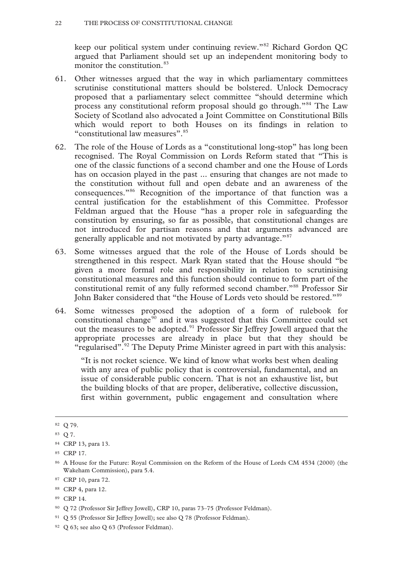keep our political system under continuing review."[82](#page-21-0) Richard Gordon QC argued that Parliament should set up an independent monitoring body to monitor the constitution.<sup>[83](#page-21-1)</sup>

- 61. Other witnesses argued that the way in which parliamentary committees scrutinise constitutional matters should be bolstered. Unlock Democracy proposed that a parliamentary select committee "should determine which process any constitutional reform proposal should go through."[84](#page-21-2) The Law Society of Scotland also advocated a Joint Committee on Constitutional Bills which would report to both Houses on its findings in relation to "constitutional law measures".<sup>[85](#page-21-3)</sup>
- 62. The role of the House of Lords as a "constitutional long-stop" has long been recognised. The Royal Commission on Lords Reform stated that "This is one of the classic functions of a second chamber and one the House of Lords has on occasion played in the past ... ensuring that changes are not made to the constitution without full and open debate and an awareness of the consequences."[86](#page-21-4) Recognition of the importance of that function was a central justification for the establishment of this Committee. Professor Feldman argued that the House "has a proper role in safeguarding the constitution by ensuring, so far as possible, that constitutional changes are not introduced for partisan reasons and that arguments advanced are generally applicable and not motivated by party advantage."<sup>[87](#page-21-5)</sup>
- 63. Some witnesses argued that the role of the House of Lords should be strengthened in this respect. Mark Ryan stated that the House should "be given a more formal role and responsibility in relation to scrutinising constitutional measures and this function should continue to form part of the constitutional remit of any fully reformed second chamber."<sup>[88](#page-21-6)</sup> Professor Sir John Baker considered that "the House of Lords veto should be restored."[89](#page-21-7)
- 64. Some witnesses proposed the adoption of a form of rulebook for constitutional change<sup>[90](#page-21-8)</sup> and it was suggested that this Committee could set out the measures to be adopted.[91](#page-21-9) Professor Sir Jeffrey Jowell argued that the appropriate processes are already in place but that they should be "regularised".<sup>[92](#page-21-10)</sup> The Deputy Prime Minister agreed in part with this analysis:

"It is not rocket science. We kind of know what works best when dealing with any area of public policy that is controversial, fundamental, and an issue of considerable public concern. That is not an exhaustive list, but the building blocks of that are proper, deliberative, collective discussion, first within government, public engagement and consultation where

<span id="page-21-0"></span> <sup>82</sup> Q 79.

<span id="page-21-1"></span><sup>83</sup> Q 7.

<span id="page-21-2"></span><sup>84</sup> CRP 13, para 13.

<span id="page-21-3"></span><sup>85</sup> CRP 17.

<span id="page-21-4"></span><sup>86</sup> A House for the Future: Royal Commission on the Reform of the House of Lords CM 4534 (2000) (the Wakeham Commission), para 5.4.

<span id="page-21-5"></span><sup>87</sup> CRP 10, para 72.

<span id="page-21-6"></span><sup>88</sup> CRP 4, para 12.

<span id="page-21-7"></span><sup>89</sup> CRP 14.

<span id="page-21-8"></span><sup>90</sup> Q 72 (Professor Sir Jeffrey Jowell), CRP 10, paras 73–75 (Professor Feldman).

<span id="page-21-9"></span><sup>&</sup>lt;sup>91</sup> Q 55 (Professor Sir Jeffrey Jowell); see also Q 78 (Professor Feldman).

<span id="page-21-10"></span><sup>&</sup>lt;sup>92</sup> Q 63; see also Q 63 (Professor Feldman).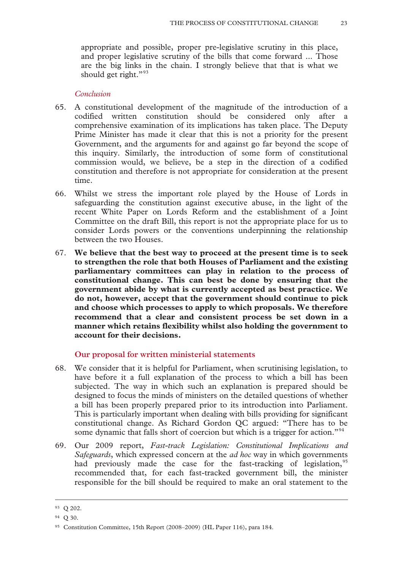appropriate and possible, proper pre-legislative scrutiny in this place, and proper legislative scrutiny of the bills that come forward ... Those are the big links in the chain. I strongly believe that that is what we should get right."<sup>[93](#page-22-0)</sup>

#### *Conclusion*

- 65. A constitutional development of the magnitude of the introduction of a codified written constitution should be considered only after a comprehensive examination of its implications has taken place. The Deputy Prime Minister has made it clear that this is not a priority for the present Government, and the arguments for and against go far beyond the scope of this inquiry. Similarly, the introduction of some form of constitutional commission would, we believe, be a step in the direction of a codified constitution and therefore is not appropriate for consideration at the present time.
- 66. Whilst we stress the important role played by the House of Lords in safeguarding the constitution against executive abuse, in the light of the recent White Paper on Lords Reform and the establishment of a Joint Committee on the draft Bill, this report is not the appropriate place for us to consider Lords powers or the conventions underpinning the relationship between the two Houses.
- 67. **We believe that the best way to proceed at the present time is to seek to strengthen the role that both Houses of Parliament and the existing parliamentary committees can play in relation to the process of constitutional change. This can best be done by ensuring that the government abide by what is currently accepted as best practice. We do not, however, accept that the government should continue to pick and choose which processes to apply to which proposals. We therefore recommend that a clear and consistent process be set down in a manner which retains flexibility whilst also holding the government to account for their decisions.**

#### **Our proposal for written ministerial statements**

- 68. We consider that it is helpful for Parliament, when scrutinising legislation, to have before it a full explanation of the process to which a bill has been subjected. The way in which such an explanation is prepared should be designed to focus the minds of ministers on the detailed questions of whether a bill has been properly prepared prior to its introduction into Parliament. This is particularly important when dealing with bills providing for significant constitutional change. As Richard Gordon QC argued: "There has to be some dynamic that falls short of coercion but which is a trigger for action."<sup>[94](#page-22-1)</sup>
- 69. Our 2009 report, *Fast-track Legislation: Constitutional Implications and Safeguards*, which expressed concern at the *ad hoc* way in which governments had previously made the case for the fast-tracking of legislation,<sup>[95](#page-22-2)</sup> recommended that, for each fast-tracked government bill, the minister responsible for the bill should be required to make an oral statement to the

<span id="page-22-0"></span> <sup>93</sup> Q 202.

<span id="page-22-1"></span><sup>94</sup> Q 30.

<span id="page-22-2"></span><sup>95</sup> Constitution Committee, 15th Report (2008–2009) (HL Paper 116), para 184.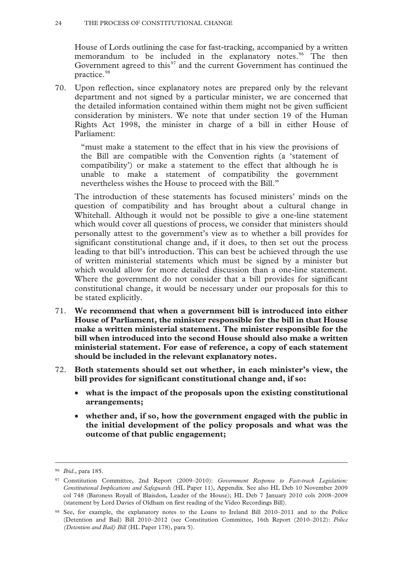House of Lords outlining the case for fast-tracking, accompanied by a written memorandum to be included in the explanatory notes. [96](#page-23-0) The then Government agreed to this $97$  and the current Government has continued the practice.<sup>[98](#page-23-2)</sup>

70. Upon reflection, since explanatory notes are prepared only by the relevant department and not signed by a particular minister, we are concerned that the detailed information contained within them might not be given sufficient consideration by ministers. We note that under section 19 of the Human Rights Act 1998, the minister in charge of a bill in either House of Parliament:

"must make a statement to the effect that in his view the provisions of the Bill are compatible with the Convention rights (a 'statement of compatibility') or make a statement to the effect that although he is unable to make a statement of compatibility the government nevertheless wishes the House to proceed with the Bill."

The introduction of these statements has focused ministers' minds on the question of compatibility and has brought about a cultural change in Whitehall. Although it would not be possible to give a one-line statement which would cover all questions of process, we consider that ministers should personally attest to the government's view as to whether a bill provides for significant constitutional change and, if it does, to then set out the process leading to that bill's introduction. This can best be achieved through the use of written ministerial statements which must be signed by a minister but which would allow for more detailed discussion than a one-line statement. Where the government do not consider that a bill provides for significant constitutional change, it would be necessary under our proposals for this to be stated explicitly.

- 71. **We recommend that when a government bill is introduced into either House of Parliament, the minister responsible for the bill in that House make a written ministerial statement. The minister responsible for the bill when introduced into the second House should also make a written ministerial statement. For ease of reference, a copy of each statement should be included in the relevant explanatory notes.**
- 72. **Both statements should set out whether, in each minister's view, the bill provides for significant constitutional change and, if so:**
	- **what is the impact of the proposals upon the existing constitutional arrangements;**
	- **whether and, if so, how the government engaged with the public in the initial development of the policy proposals and what was the outcome of that public engagement;**

<span id="page-23-0"></span> <sup>96</sup> *Ibid*., para 185.

<span id="page-23-1"></span><sup>97</sup> Constitution Committee, 2nd Report (2009–2010): *Government Response to Fast-track Legislation: Constitutional Implications and Safeguards* (HL Paper 11), Appendix. See also HL Deb 10 November 2009 col 748 (Baroness Royall of Blaisdon, Leader of the House); HL Deb 7 January 2010 cols 2008–2009 (statement by Lord Davies of Oldham on first reading of the Video Recordings Bill).

<span id="page-23-2"></span><sup>98</sup> See, for example, the explanatory notes to the Loans to Ireland Bill 2010–2011 and to the Police (Detention and Bail) Bill 2010–2012 (see Constitution Committee, 16th Report (2010–2012): *Police (Detention and Bail) Bill* (HL Paper 178), para 5).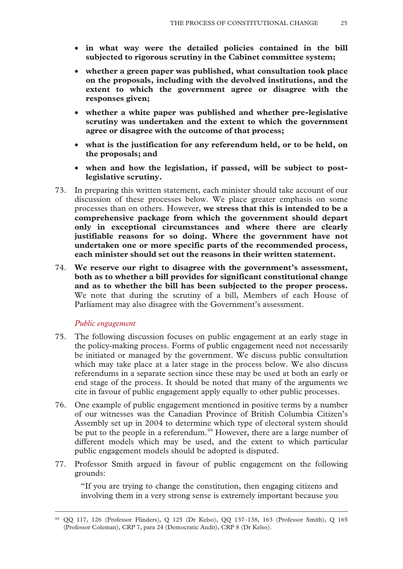- **in what way were the detailed policies contained in the bill subjected to rigorous scrutiny in the Cabinet committee system;**
- **whether a green paper was published, what consultation took place on the proposals, including with the devolved institutions, and the extent to which the government agree or disagree with the responses given;**
- **whether a white paper was published and whether pre-legislative scrutiny was undertaken and the extent to which the government agree or disagree with the outcome of that process;**
- **what is the justification for any referendum held, or to be held, on the proposals; and**
- **when and how the legislation, if passed, will be subject to postlegislative scrutiny.**
- 73. In preparing this written statement, each minister should take account of our discussion of these processes below. We place greater emphasis on some processes than on others. However, **we stress that this is intended to be a comprehensive package from which the government should depart only in exceptional circumstances and where there are clearly justifiable reasons for so doing. Where the government have not undertaken one or more specific parts of the recommended process, each minister should set out the reasons in their written statement.**
- 74. **We reserve our right to disagree with the government's assessment, both as to whether a bill provides for significant constitutional change and as to whether the bill has been subjected to the proper process.** We note that during the scrutiny of a bill, Members of each House of Parliament may also disagree with the Government's assessment.

#### *Public engagement*

- 75. The following discussion focuses on public engagement at an early stage in the policy-making process. Forms of public engagement need not necessarily be initiated or managed by the government. We discuss public consultation which may take place at a later stage in the process below. We also discuss referendums in a separate section since these may be used at both an early or end stage of the process. It should be noted that many of the arguments we cite in favour of public engagement apply equally to other public processes.
- 76. One example of public engagement mentioned in positive terms by a number of our witnesses was the Canadian Province of British Columbia Citizen's Assembly set up in 2004 to determine which type of electoral system should be put to the people in a referendum.<sup>[99](#page-24-0)</sup> However, there are a large number of different models which may be used, and the extent to which particular public engagement models should be adopted is disputed.
- 77. Professor Smith argued in favour of public engagement on the following grounds:

"If you are trying to change the constitution, then engaging citizens and involving them in a very strong sense is extremely important because you

<span id="page-24-0"></span> <sup>99</sup> QQ 117, 126 (Professor Flinders), Q 125 (Dr Kelso), QQ 137–138, 163 (Professor Smith), Q 165 (Professor Coleman), CRP 7, para 24 (Democratic Audit), CRP 8 (Dr Kelso).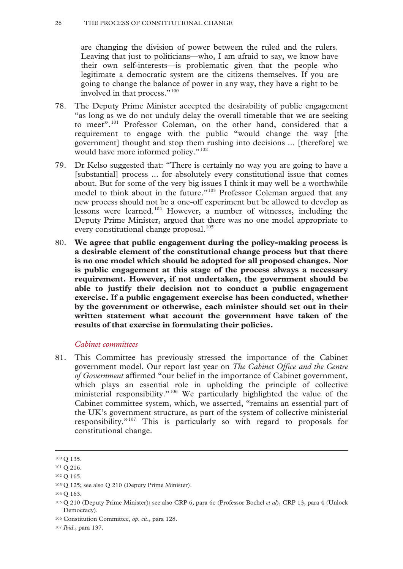are changing the division of power between the ruled and the rulers. Leaving that just to politicians—who, I am afraid to say, we know have their own self-interests—is problematic given that the people who legitimate a democratic system are the citizens themselves. If you are going to change the balance of power in any way, they have a right to be involved in that process."<sup>[100](#page-25-0)</sup>

- 78. The Deputy Prime Minister accepted the desirability of public engagement "as long as we do not unduly delay the overall timetable that we are seeking to meet".[101](#page-25-1) Professor Coleman, on the other hand, considered that a requirement to engage with the public "would change the way [the government] thought and stop them rushing into decisions ... [therefore] we would have more informed policy."<sup>[102](#page-25-2)</sup>
- 79. Dr Kelso suggested that: "There is certainly no way you are going to have a [substantial] process ... for absolutely every constitutional issue that comes about. But for some of the very big issues I think it may well be a worthwhile model to think about in the future."<sup>[103](#page-25-3)</sup> Professor Coleman argued that any new process should not be a one-off experiment but be allowed to develop as lessons were learned.[104](#page-25-4) However, a number of witnesses, including the Deputy Prime Minister, argued that there was no one model appropriate to every constitutional change proposal.<sup>[105](#page-25-5)</sup>
- 80. **We agree that public engagement during the policy-making process is a desirable element of the constitutional change process but that there is no one model which should be adopted for all proposed changes. Nor is public engagement at this stage of the process always a necessary requirement. However, if not undertaken, the government should be able to justify their decision not to conduct a public engagement exercise. If a public engagement exercise has been conducted, whether by the government or otherwise, each minister should set out in their written statement what account the government have taken of the results of that exercise in formulating their policies.**

#### *Cabinet committees*

81. This Committee has previously stressed the importance of the Cabinet government model. Our report last year on *The Cabinet Office and the Centre of Government* affirmed "our belief in the importance of Cabinet government, which plays an essential role in upholding the principle of collective ministerial responsibility."[106](#page-25-6) We particularly highlighted the value of the Cabinet committee system, which, we asserted, "remains an essential part of the UK's government structure, as part of the system of collective ministerial responsibility."[107](#page-25-7) This is particularly so with regard to proposals for constitutional change.

<span id="page-25-0"></span> <sup>100</sup> Q 135.

<span id="page-25-1"></span><sup>101</sup> Q 216.

<span id="page-25-2"></span><sup>102</sup> Q 165.

<span id="page-25-3"></span><sup>103</sup> Q 125; see also Q 210 (Deputy Prime Minister).

<span id="page-25-4"></span><sup>104</sup> Q 163.

<span id="page-25-5"></span><sup>105</sup> Q 210 (Deputy Prime Minister); see also CRP 6, para 6c (Professor Bochel *et al*), CRP 13, para 4 (Unlock Democracy).

<span id="page-25-6"></span><sup>106</sup> Constitution Committee, *op*. *cit*., para 128.

<span id="page-25-7"></span><sup>107</sup> *Ibid*., para 137.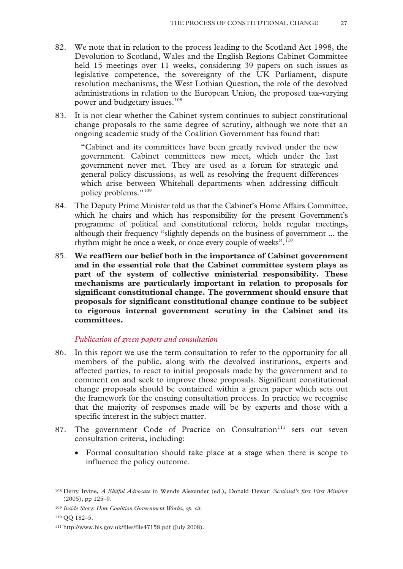- 82. We note that in relation to the process leading to the Scotland Act 1998, the Devolution to Scotland, Wales and the English Regions Cabinet Committee held 15 meetings over 11 weeks, considering 39 papers on such issues as legislative competence, the sovereignty of the UK Parliament, dispute resolution mechanisms, the West Lothian Question, the role of the devolved administrations in relation to the European Union, the proposed tax-varying power and budgetary issues.<sup>[108](#page-26-0)</sup>
- 83. It is not clear whether the Cabinet system continues to subject constitutional change proposals to the same degree of scrutiny, although we note that an ongoing academic study of the Coalition Government has found that:

"Cabinet and its committees have been greatly revived under the new government. Cabinet committees now meet, which under the last government never met. They are used as a forum for strategic and general policy discussions, as well as resolving the frequent differences which arise between Whitehall departments when addressing difficult policy problems."<sup>[109](#page-26-1)</sup>

- 84. The Deputy Prime Minister told us that the Cabinet's Home Affairs Committee, which he chairs and which has responsibility for the present Government's programme of political and constitutional reform, holds regular meetings, although their frequency "slightly depends on the business of government ... the rhythm might be once a week, or once every couple of weeks". $^{110}$  $^{110}$  $^{110}$
- 85. **We reaffirm our belief both in the importance of Cabinet government and in the essential role that the Cabinet committee system plays as part of the system of collective ministerial responsibility. These mechanisms are particularly important in relation to proposals for significant constitutional change. The government should ensure that proposals for significant constitutional change continue to be subject to rigorous internal government scrutiny in the Cabinet and its committees.**

#### *Publication of green papers and consultation*

- 86. In this report we use the term consultation to refer to the opportunity for all members of the public, along with the devolved institutions, experts and affected parties, to react to initial proposals made by the government and to comment on and seek to improve those proposals. Significant constitutional change proposals should be contained within a green paper which sets out the framework for the ensuing consultation process. In practice we recognise that the majority of responses made will be by experts and those with a specific interest in the subject matter.
- 87. The government Code of Practice on Consultation<sup>[111](#page-26-3)</sup> sets out seven consultation criteria, including:
	- Formal consultation should take place at a stage when there is scope to influence the policy outcome.

<span id="page-26-0"></span> <sup>108</sup> Derry Irvine, *A Skilful Advocate* in Wendy Alexander (ed.), Donald Dewar: *Scotland's first First Minister* (2005), pp 125–9.

<span id="page-26-1"></span><sup>109</sup> *Inside Story: How Coalition Government Works*, *op. cit.*

<span id="page-26-2"></span><sup>110</sup> QQ 182–5.

<span id="page-26-3"></span><sup>111</sup> http://www.bis.gov.uk/files/file47158.pdf (July 2008).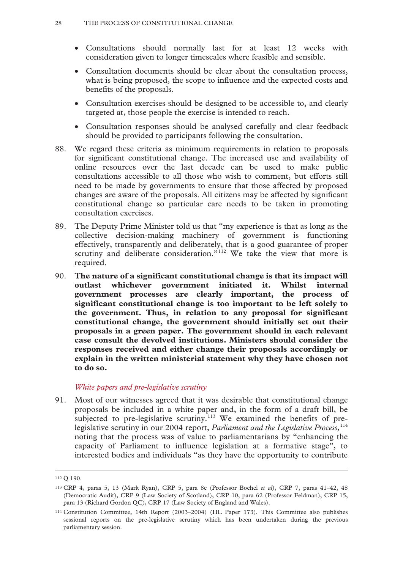- Consultations should normally last for at least 12 weeks with consideration given to longer timescales where feasible and sensible.
- Consultation documents should be clear about the consultation process, what is being proposed, the scope to influence and the expected costs and benefits of the proposals.
- Consultation exercises should be designed to be accessible to, and clearly targeted at, those people the exercise is intended to reach.
- Consultation responses should be analysed carefully and clear feedback should be provided to participants following the consultation.
- 88. We regard these criteria as minimum requirements in relation to proposals for significant constitutional change. The increased use and availability of online resources over the last decade can be used to make public consultations accessible to all those who wish to comment, but efforts still need to be made by governments to ensure that those affected by proposed changes are aware of the proposals. All citizens may be affected by significant constitutional change so particular care needs to be taken in promoting consultation exercises.
- 89. The Deputy Prime Minister told us that "my experience is that as long as the collective decision-making machinery of government is functioning effectively, transparently and deliberately, that is a good guarantee of proper scrutiny and deliberate consideration."<sup>[112](#page-27-0)</sup> We take the view that more is required.
- 90. **The nature of a significant constitutional change is that its impact will outlast whichever government initiated it. Whilst internal government processes are clearly important, the process of significant constitutional change is too important to be left solely to the government. Thus, in relation to any proposal for significant constitutional change, the government should initially set out their proposals in a green paper. The government should in each relevant case consult the devolved institutions. Ministers should consider the responses received and either change their proposals accordingly or explain in the written ministerial statement why they have chosen not to do so.**

# *White papers and pre-legislative scrutiny*

91. Most of our witnesses agreed that it was desirable that constitutional change proposals be included in a white paper and, in the form of a draft bill, be subjected to pre-legislative scrutiny.<sup>[113](#page-27-1)</sup> We examined the benefits of prelegislative scrutiny in our 2004 report, *Parliament and the Legislative Process*, [114](#page-27-2) noting that the process was of value to parliamentarians by "enhancing the capacity of Parliament to influence legislation at a formative stage", to interested bodies and individuals "as they have the opportunity to contribute

<span id="page-27-0"></span> $112 \Omega$  190.

<span id="page-27-1"></span><sup>113</sup> CRP 4, paras 5, 13 (Mark Ryan), CRP 5, para 8c (Professor Bochel *et al*), CRP 7, paras 41–42, 48 (Democratic Audit), CRP 9 (Law Society of Scotland), CRP 10, para 62 (Professor Feldman), CRP 15, para 13 (Richard Gordon QC), CRP 17 (Law Society of England and Wales).

<span id="page-27-2"></span><sup>114</sup> Constitution Committee, 14th Report (2003–2004) (HL Paper 173). This Committee also publishes sessional reports on the pre-legislative scrutiny which has been undertaken during the previous parliamentary session.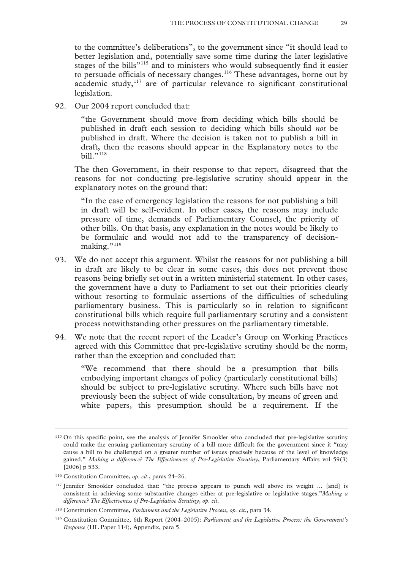to the committee's deliberations", to the government since "it should lead to better legislation and, potentially save some time during the later legislative stages of the bills<sup>"[115](#page-28-0)</sup> and to ministers who would subsequently find it easier to persuade officials of necessary changes.<sup>[116](#page-28-1)</sup> These advantages, borne out by academic study, $117$  are of particular relevance to significant constitutional legislation.

92. Our 2004 report concluded that:

"the Government should move from deciding which bills should be published in draft each session to deciding which bills should *not* be published in draft. Where the decision is taken not to publish a bill in draft, then the reasons should appear in the Explanatory notes to the  $\text{bill.}$ "<sup>[118](#page-28-3)</sup>

The then Government, in their response to that report, disagreed that the reasons for not conducting pre-legislative scrutiny should appear in the explanatory notes on the ground that:

"In the case of emergency legislation the reasons for not publishing a bill in draft will be self-evident. In other cases, the reasons may include pressure of time, demands of Parliamentary Counsel, the priority of other bills. On that basis, any explanation in the notes would be likely to be formulaic and would not add to the transparency of decision-making."<sup>[119](#page-28-4)</sup>

- 93. We do not accept this argument. Whilst the reasons for not publishing a bill in draft are likely to be clear in some cases, this does not prevent those reasons being briefly set out in a written ministerial statement. In other cases, the government have a duty to Parliament to set out their priorities clearly without resorting to formulaic assertions of the difficulties of scheduling parliamentary business. This is particularly so in relation to significant constitutional bills which require full parliamentary scrutiny and a consistent process notwithstanding other pressures on the parliamentary timetable.
- 94. We note that the recent report of the Leader's Group on Working Practices agreed with this Committee that pre-legislative scrutiny should be the norm, rather than the exception and concluded that:

"We recommend that there should be a presumption that bills embodying important changes of policy (particularly constitutional bills) should be subject to pre-legislative scrutiny. Where such bills have not previously been the subject of wide consultation, by means of green and white papers, this presumption should be a requirement. If the

<span id="page-28-0"></span> <sup>115</sup> On this specific point, see the analysis of Jennifer Smookler who concluded that pre-legislative scrutiny could make the ensuing parliamentary scrutiny of a bill more difficult for the government since it "may cause a bill to be challenged on a greater number of issues precisely because of the level of knowledge gained." *Making a difference? The Effectiveness of Pre-Legislative Scrutiny*, Parliamentary Affairs vol 59(3) [2006] p 533.

<span id="page-28-1"></span><sup>116</sup> Constitution Committee, *op*. *cit*., paras 24–26.

<span id="page-28-2"></span><sup>117</sup> Jennifer Smookler concluded that: "the process appears to punch well above its weight ... [and] is consistent in achieving some substantive changes either at pre-legislative or legislative stages."*Making a difference? The Effectiveness of Pre-Legislative Scrutiny*, *op*. *cit*.

<span id="page-28-3"></span><sup>118</sup> Constitution Committee, *Parliament and the Legislative Process, op. cit*., para 34.

<span id="page-28-4"></span><sup>119</sup> Constitution Committee, 6th Report (2004–2005): *Parliament and the Legislative Process: the Government's Response* (HL Paper 114), Appendix, para 5.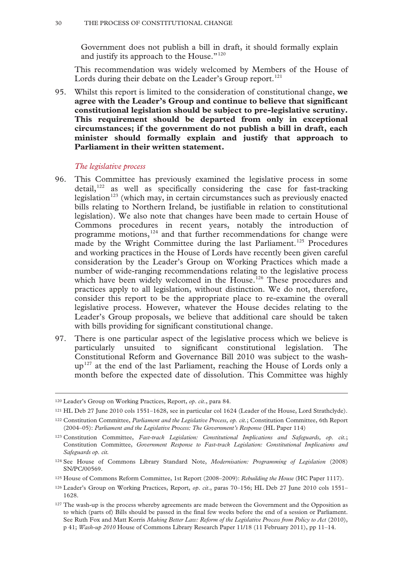Government does not publish a bill in draft, it should formally explain and justify its approach to the House."<sup>[120](#page-29-0)</sup>

This recommendation was widely welcomed by Members of the House of Lords during their debate on the Leader's Group report.<sup>[121](#page-29-1)</sup>

95. Whilst this report is limited to the consideration of constitutional change, **we agree with the Leader's Group and continue to believe that significant constitutional legislation should be subject to pre-legislative scrutiny. This requirement should be departed from only in exceptional circumstances; if the government do not publish a bill in draft, each minister should formally explain and justify that approach to Parliament in their written statement.**

#### *The legislative process*

- 96. This Committee has previously examined the legislative process in some detail, $122$  as well as specifically considering the case for fast-tracking legislation<sup>[123](#page-29-3)</sup> (which may, in certain circumstances such as previously enacted bills relating to Northern Ireland, be justifiable in relation to constitutional legislation). We also note that changes have been made to certain House of Commons procedures in recent years, notably the introduction of programme motions,<sup>[124](#page-29-4)</sup> and that further recommendations for change were made by the Wright Committee during the last Parliament.<sup>[125](#page-29-5)</sup> Procedures and working practices in the House of Lords have recently been given careful consideration by the Leader's Group on Working Practices which made a number of wide-ranging recommendations relating to the legislative process which have been widely welcomed in the House.<sup>[126](#page-29-6)</sup> These procedures and practices apply to all legislation, without distinction. We do not, therefore, consider this report to be the appropriate place to re-examine the overall legislative process. However, whatever the House decides relating to the Leader's Group proposals, we believe that additional care should be taken with bills providing for significant constitutional change.
- 97. There is one particular aspect of the legislative process which we believe is particularly unsuited to significant constitutional legislation. The Constitutional Reform and Governance Bill 2010 was subject to the wash-up<sup>[127](#page-29-7)</sup> at the end of the last Parliament, reaching the House of Lords only a month before the expected date of dissolution. This Committee was highly

<span id="page-29-0"></span> <sup>120</sup> Leader's Group on Working Practices, Report, *op*. *cit*., para 84.

<span id="page-29-1"></span><sup>121</sup> HL Deb 27 June 2010 cols 1551–1628, see in particular col 1624 (Leader of the House, Lord Strathclyde).

<span id="page-29-2"></span><sup>122</sup> Constitution Committee, *Parliament and the Legislative Process, op. cit.*; Constitution Committee, 6th Report (2004–05): *Parliament and the Legislative Process: The Government's Response* (HL Paper 114)

<span id="page-29-3"></span><sup>123</sup> Constitution Committee, *Fast-track Legislation: Constitutional Implications and Safeguards, op. cit.*; Constitution Committee, *Government Response to Fast-track Legislation: Constitutional Implications and Safeguards op. cit.* 

<span id="page-29-4"></span><sup>124</sup> See House of Commons Library Standard Note, *Modernisation: Programming of Legislation* (2008) SN/PC/00569.

<span id="page-29-5"></span><sup>125</sup> House of Commons Reform Committee, 1st Report (2008–2009): *Rebuilding the House* (HC Paper 1117).

<span id="page-29-6"></span><sup>126</sup> Leader's Group on Working Practices, Report, *op*. *cit*., paras 70–156; HL Deb 27 June 2010 cols 1551– 1628.

<span id="page-29-7"></span><sup>&</sup>lt;sup>127</sup> The wash-up is the process whereby agreements are made between the Government and the Opposition as to which (parts of) Bills should be passed in the final few weeks before the end of a session or Parliament. See Ruth Fox and Matt Korris *Making Better Law: Reform of the Legislative Process from Policy to Act* (2010), p 41; *Wash-up 2010* House of Commons Library Research Paper 11/18 (11 February 2011), pp 11–14.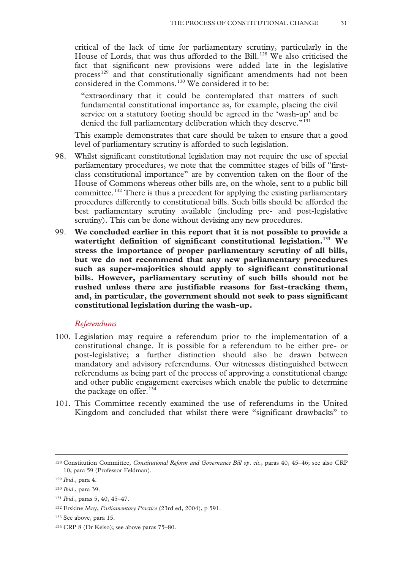critical of the lack of time for parliamentary scrutiny, particularly in the House of Lords, that was thus afforded to the Bill.<sup>[128](#page-30-0)</sup> We also criticised the fact that significant new provisions were added late in the legislative process<sup>[129](#page-30-1)</sup> and that constitutionally significant amendments had not been considered in the Commons.<sup>[130](#page-30-2)</sup> We considered it to be:

"extraordinary that it could be contemplated that matters of such fundamental constitutional importance as, for example, placing the civil service on a statutory footing should be agreed in the 'wash-up' and be denied the full parliamentary deliberation which they deserve."<sup>[131](#page-30-3)</sup>

This example demonstrates that care should be taken to ensure that a good level of parliamentary scrutiny is afforded to such legislation.

- 98. Whilst significant constitutional legislation may not require the use of special parliamentary procedures, we note that the committee stages of bills of "firstclass constitutional importance" are by convention taken on the floor of the House of Commons whereas other bills are, on the whole, sent to a public bill committee.<sup>[132](#page-30-4)</sup> There is thus a precedent for applying the existing parliamentary procedures differently to constitutional bills. Such bills should be afforded the best parliamentary scrutiny available (including pre- and post-legislative scrutiny). This can be done without devising any new procedures.
- 99. **We concluded earlier in this report that it is not possible to provide a watertight definition of significant constitutional legislation.[133](#page-30-5) We stress the importance of proper parliamentary scrutiny of all bills, but we do not recommend that any new parliamentary procedures such as super-majorities should apply to significant constitutional bills. However, parliamentary scrutiny of such bills should not be rushed unless there are justifiable reasons for fast-tracking them, and, in particular, the government should not seek to pass significant constitutional legislation during the wash-up.**

#### *Referendums*

- 100. Legislation may require a referendum prior to the implementation of a constitutional change. It is possible for a referendum to be either pre- or post-legislative; a further distinction should also be drawn between mandatory and advisory referendums. Our witnesses distinguished between referendums as being part of the process of approving a constitutional change and other public engagement exercises which enable the public to determine the package on offer. $134$
- 101. This Committee recently examined the use of referendums in the United Kingdom and concluded that whilst there were "significant drawbacks" to

<span id="page-30-0"></span> <sup>128</sup> Constitution Committee, *Constitutional Reform and Governance Bill op*. *cit*., paras 40, 45–46; see also CRP 10, para 59 (Professor Feldman).

<span id="page-30-1"></span><sup>129</sup> *Ibid*., para 4.

<span id="page-30-2"></span><sup>130</sup> *Ibid*., para 39.

<span id="page-30-3"></span><sup>131</sup> *Ibid*., paras 5, 40, 45–47.

<span id="page-30-4"></span><sup>132</sup> Erskine May, *Parliamentary Practice* (23rd ed, 2004), p 591.

<span id="page-30-5"></span><sup>133</sup> See above, para 15.

<span id="page-30-6"></span><sup>134</sup> CRP 8 (Dr Kelso); see above paras 75–80.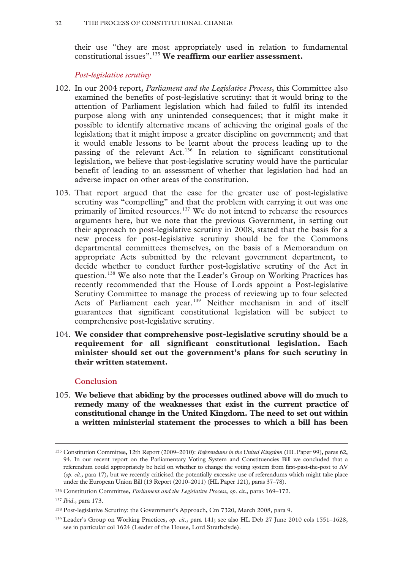their use "they are most appropriately used in relation to fundamental constitutional issues".[135](#page-31-0) **We reaffirm our earlier assessment.**

#### *Post-legislative scrutiny*

- 102. In our 2004 report, *Parliament and the Legislative Process*, this Committee also examined the benefits of post-legislative scrutiny: that it would bring to the attention of Parliament legislation which had failed to fulfil its intended purpose along with any unintended consequences; that it might make it possible to identify alternative means of achieving the original goals of the legislation; that it might impose a greater discipline on government; and that it would enable lessons to be learnt about the process leading up to the passing of the relevant Act.<sup>[136](#page-31-1)</sup> In relation to significant constitutional legislation, we believe that post-legislative scrutiny would have the particular benefit of leading to an assessment of whether that legislation had had an adverse impact on other areas of the constitution.
- 103. That report argued that the case for the greater use of post-legislative scrutiny was "compelling" and that the problem with carrying it out was one primarily of limited resources.<sup>137</sup> We do not intend to rehearse the resources arguments here, but we note that the previous Government, in setting out their approach to post-legislative scrutiny in 2008, stated that the basis for a new process for post-legislative scrutiny should be for the Commons departmental committees themselves, on the basis of a Memorandum on appropriate Acts submitted by the relevant government department, to decide whether to conduct further post-legislative scrutiny of the Act in question.<sup>[138](#page-31-3)</sup> We also note that the Leader's Group on Working Practices has recently recommended that the House of Lords appoint a Post-legislative Scrutiny Committee to manage the process of reviewing up to four selected Acts of Parliament each year.<sup>[139](#page-31-4)</sup> Neither mechanism in and of itself guarantees that significant constitutional legislation will be subject to comprehensive post-legislative scrutiny.
- 104. **We consider that comprehensive post-legislative scrutiny should be a requirement for all significant constitutional legislation. Each minister should set out the government's plans for such scrutiny in their written statement.**

#### **Conclusion**

105. **We believe that abiding by the processes outlined above will do much to remedy many of the weaknesses that exist in the current practice of constitutional change in the United Kingdom. The need to set out within a written ministerial statement the processes to which a bill has been** 

<span id="page-31-0"></span> <sup>135</sup> Constitution Committee, 12th Report (2009–2010): *Referendums in the United Kingdom* (HL Paper 99), paras 62, 94. In our recent report on the Parliamentary Voting System and Constituencies Bill we concluded that a referendum could appropriately be held on whether to change the voting system from first-past-the-post to AV (*op*. *cit*., para 17), but we recently criticised the potentially excessive use of referendums which might take place under the European Union Bill (13 Report (2010–2011) (HL Paper 121), paras 37–78).

<span id="page-31-1"></span><sup>136</sup> Constitution Committee, *Parliament and the Legislative Process*, *op*. *cit*., paras 169–172.

<span id="page-31-2"></span><sup>137</sup> *Ibid*., para 173.

<span id="page-31-3"></span><sup>138</sup> Post-legislative Scrutiny: the Government's Approach, Cm 7320, March 2008, para 9.

<span id="page-31-4"></span><sup>139</sup> Leader's Group on Working Practices, *op*. *cit*., para 141; see also HL Deb 27 June 2010 cols 1551–1628, see in particular col 1624 (Leader of the House, Lord Strathclyde).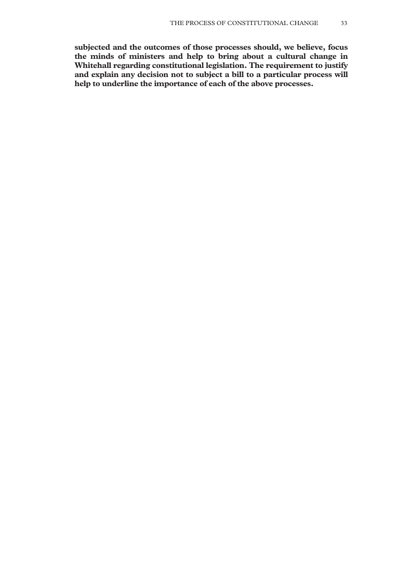**subjected and the outcomes of those processes should, we believe, focus the minds of ministers and help to bring about a cultural change in Whitehall regarding constitutional legislation. The requirement to justify and explain any decision not to subject a bill to a particular process will help to underline the importance of each of the above processes.**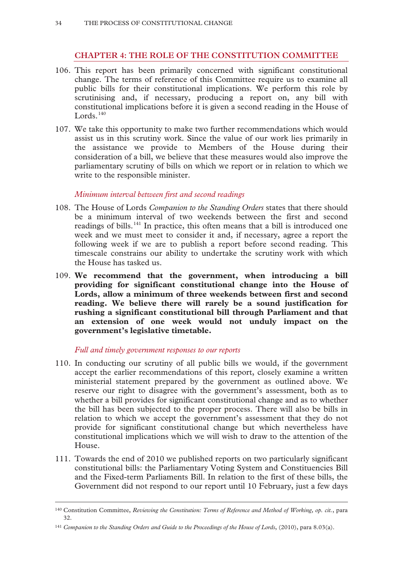# **CHAPTER 4: THE ROLE OF THE CONSTITUTION COMMITTEE**

- 106. This report has been primarily concerned with significant constitutional change. The terms of reference of this Committee require us to examine all public bills for their constitutional implications. We perform this role by scrutinising and, if necessary, producing a report on, any bill with constitutional implications before it is given a second reading in the House of Lords $^{140}$  $^{140}$  $^{140}$
- 107. We take this opportunity to make two further recommendations which would assist us in this scrutiny work. Since the value of our work lies primarily in the assistance we provide to Members of the House during their consideration of a bill, we believe that these measures would also improve the parliamentary scrutiny of bills on which we report or in relation to which we write to the responsible minister.

# *Minimum interval between first and second readings*

- 108. The House of Lords *Companion to the Standing Orders* states that there should be a minimum interval of two weekends between the first and second readings of bills.<sup>[141](#page-33-1)</sup> In practice, this often means that a bill is introduced one week and we must meet to consider it and, if necessary, agree a report the following week if we are to publish a report before second reading. This timescale constrains our ability to undertake the scrutiny work with which the House has tasked us.
- 109. **We recommend that the government, when introducing a bill providing for significant constitutional change into the House of Lords, allow a minimum of three weekends between first and second reading. We believe there will rarely be a sound justification for rushing a significant constitutional bill through Parliament and that an extension of one week would not unduly impact on the government's legislative timetable.**

# *Full and timely government responses to our reports*

- 110. In conducting our scrutiny of all public bills we would, if the government accept the earlier recommendations of this report, closely examine a written ministerial statement prepared by the government as outlined above. We reserve our right to disagree with the government's assessment, both as to whether a bill provides for significant constitutional change and as to whether the bill has been subjected to the proper process. There will also be bills in relation to which we accept the government's assessment that they do not provide for significant constitutional change but which nevertheless have constitutional implications which we will wish to draw to the attention of the House.
- 111. Towards the end of 2010 we published reports on two particularly significant constitutional bills: the Parliamentary Voting System and Constituencies Bill and the Fixed-term Parliaments Bill. In relation to the first of these bills, the Government did not respond to our report until 10 February, just a few days

<span id="page-33-1"></span><sup>141</sup> *Companion to the Standing Orders and Guide to the Proceedings of the House of Lords*, (2010), para 8.03(a).

<span id="page-33-0"></span> <sup>140</sup> Constitution Committee, *Reviewing the Constitution: Terms of Reference and Method of Working, op. cit.*, para 32.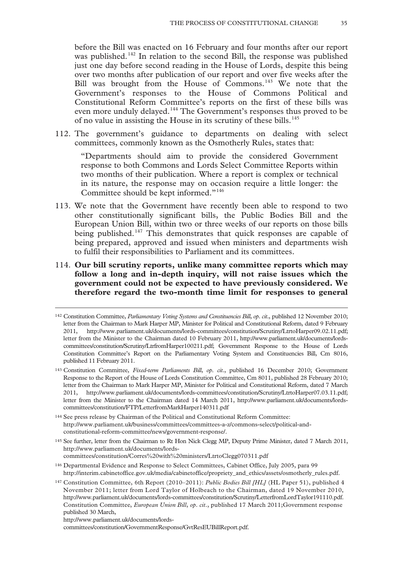before the Bill was enacted on 16 February and four months after our report was published.<sup>[142](#page-34-0)</sup> In relation to the second Bill, the response was published just one day before second reading in the House of Lords, despite this being over two months after publication of our report and over five weeks after the Bill was brought from the House of Commons.<sup>[143](#page-34-1)</sup> We note that the Government's responses to the House of Commons Political and Constitutional Reform Committee's reports on the first of these bills was even more unduly delayed.<sup>[144](#page-34-2)</sup> The Government's responses thus proved to be of no value in assisting the House in its scrutiny of these bills.[145](#page-34-3)

112. The government's guidance to departments on dealing with select committees, commonly known as the Osmotherly Rules, states that:

"Departments should aim to provide the considered Government response to both Commons and Lords Select Committee Reports within two months of their publication. Where a report is complex or technical in its nature, the response may on occasion require a little longer: the Committee should be kept informed."[146](#page-34-4)

- 113. We note that the Government have recently been able to respond to two other constitutionally significant bills, the Public Bodies Bill and the European Union Bill, within two or three weeks of our reports on those bills being published.<sup>[147](#page-34-5)</sup> This demonstrates that quick responses are capable of being prepared, approved and issued when ministers and departments wish to fulfil their responsibilities to Parliament and its committees.
- 114. **Our bill scrutiny reports, unlike many committee reports which may follow a long and in-depth inquiry, will not raise issues which the government could not be expected to have previously considered. We therefore regard the two-month time limit for responses to general**

- <span id="page-34-2"></span><sup>144</sup> See press release by Chairman of the Political and Constitutional Reform Committee: http://www.parliament.uk/business/committees/committees-a-z/commons-select/political-andconstitutional-reform-committee/news/government-response/.
- <span id="page-34-3"></span><sup>145</sup> See further, letter from the Chairman to Rt Hon Nick Clegg MP, Deputy Prime Minister, dated 7 March 2011, http://www.parliament.uk/documents/lordscommittees/constitution/Corres%20with%20ministers/LtrtoClegg070311.pdf

http://www.parliament.uk/documents/lords-

committees/constitution/GovernmentResponse/GvtResEUBillReport.pdf.

<span id="page-34-0"></span> <sup>142</sup> Constitution Committee, *Parliamentary Voting Systems and Constituencies Bill*, *op*. *cit*., published 12 November 2010; letter from the Chairman to Mark Harper MP, Minister for Political and Constitutional Reform, dated 9 February 2011, http://www.parliament.uk/documents/lords-committees/constitution/Scrutiny/LtrtoHarper09.02.11.pdf; letter from the Minister to the Chairman dated 10 February 2011, http://www.parliament.uk/documents/lordscommittees/constitution/Scrutiny/LtrfromHarper100211.pdf; Government Response to the House of Lords Constitution Committee's Report on the Parliamentary Voting System and Constituencies Bill, Cm 8016, published 11 February 2011.

<span id="page-34-1"></span><sup>143</sup> Constitution Committee, *Fixed-term Parliaments Bill*, *op*. *cit*., published 16 December 2010; Government Response to the Report of the House of Lords Constitution Committee, Cm 8011, published 28 February 2010; letter from the Chairman to Mark Harper MP, Minister for Political and Constitutional Reform, dated 7 March 2011, http://www.parliament.uk/documents/lords-committees/constitution/Scrutiny/LtrtoHarper07.03.11.pdf; letter from the Minister to the Chairman dated 14 March 2011, http://www.parliament.uk/documents/lordscommittees/constitution/FTP/LetterfromMarkHarper140311.pdf

<span id="page-34-4"></span><sup>146</sup> Departmental Evidence and Response to Select Committees, Cabinet Office, July 2005, para 99 http://interim.cabinetoffice.gov.uk/media/cabinetoffice/propriety\_and\_ethics/assets/osmotherly\_rules.pdf.

<span id="page-34-5"></span><sup>147</sup> Constitution Committee, 6th Report (2010–2011): *Public Bodies Bill [HL]* (HL Paper 51), published 4 November 2011; letter from Lord Taylor of Holbeach to the Chairman, dated 19 November 2010, http://www.parliament.uk/documents/lords-committees/constitution/Scrutiny/LetterfromLordTaylor191110.pdf. Constitution Committee, *European Union Bill*, *op*. *cit*., published 17 March 2011;Government response published 30 March,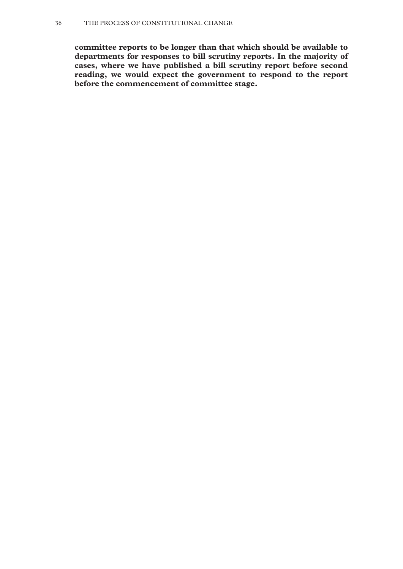#### 36 THE PROCESS OF CONSTITUTIONAL CHANGE

**committee reports to be longer than that which should be available to departments for responses to bill scrutiny reports. In the majority of cases, where we have published a bill scrutiny report before second reading, we would expect the government to respond to the report before the commencement of committee stage.**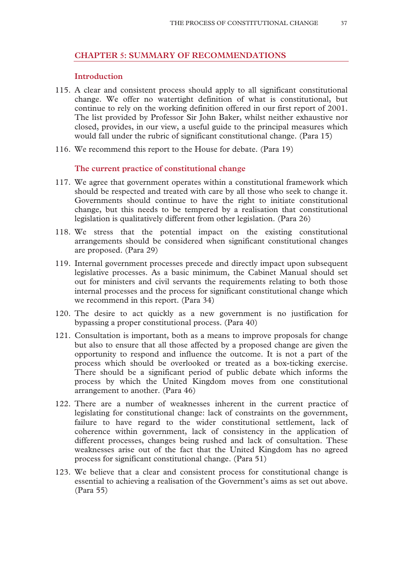# **CHAPTER 5: SUMMARY OF RECOMMENDATIONS**

#### **Introduction**

- 115. A clear and consistent process should apply to all significant constitutional change. We offer no watertight definition of what is constitutional, but continue to rely on the working definition offered in our first report of 2001. The list provided by Professor Sir John Baker, whilst neither exhaustive nor closed, provides, in our view, a useful guide to the principal measures which would fall under the rubric of significant constitutional change. (Para 15)
- 116. We recommend this report to the House for debate. (Para 19)

#### **The current practice of constitutional change**

- 117. We agree that government operates within a constitutional framework which should be respected and treated with care by all those who seek to change it. Governments should continue to have the right to initiate constitutional change, but this needs to be tempered by a realisation that constitutional legislation is qualitatively different from other legislation. (Para 26)
- 118. We stress that the potential impact on the existing constitutional arrangements should be considered when significant constitutional changes are proposed. (Para 29)
- 119. Internal government processes precede and directly impact upon subsequent legislative processes. As a basic minimum, the Cabinet Manual should set out for ministers and civil servants the requirements relating to both those internal processes and the process for significant constitutional change which we recommend in this report. (Para 34)
- 120. The desire to act quickly as a new government is no justification for bypassing a proper constitutional process. (Para 40)
- 121. Consultation is important, both as a means to improve proposals for change but also to ensure that all those affected by a proposed change are given the opportunity to respond and influence the outcome. It is not a part of the process which should be overlooked or treated as a box-ticking exercise. There should be a significant period of public debate which informs the process by which the United Kingdom moves from one constitutional arrangement to another. (Para 46)
- 122. There are a number of weaknesses inherent in the current practice of legislating for constitutional change: lack of constraints on the government, failure to have regard to the wider constitutional settlement, lack of coherence within government, lack of consistency in the application of different processes, changes being rushed and lack of consultation. These weaknesses arise out of the fact that the United Kingdom has no agreed process for significant constitutional change. (Para 51)
- 123. We believe that a clear and consistent process for constitutional change is essential to achieving a realisation of the Government's aims as set out above. (Para 55)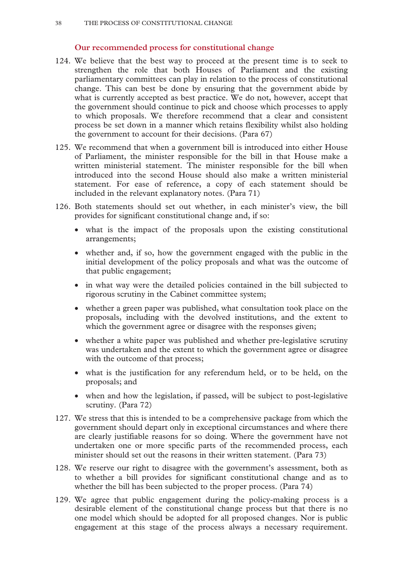#### **Our recommended process for constitutional change**

- 124. We believe that the best way to proceed at the present time is to seek to strengthen the role that both Houses of Parliament and the existing parliamentary committees can play in relation to the process of constitutional change. This can best be done by ensuring that the government abide by what is currently accepted as best practice. We do not, however, accept that the government should continue to pick and choose which processes to apply to which proposals. We therefore recommend that a clear and consistent process be set down in a manner which retains flexibility whilst also holding the government to account for their decisions. (Para 67)
- 125. We recommend that when a government bill is introduced into either House of Parliament, the minister responsible for the bill in that House make a written ministerial statement. The minister responsible for the bill when introduced into the second House should also make a written ministerial statement. For ease of reference, a copy of each statement should be included in the relevant explanatory notes. (Para 71)
- 126. Both statements should set out whether, in each minister's view, the bill provides for significant constitutional change and, if so:
	- what is the impact of the proposals upon the existing constitutional arrangements;
	- whether and, if so, how the government engaged with the public in the initial development of the policy proposals and what was the outcome of that public engagement;
	- in what way were the detailed policies contained in the bill subjected to rigorous scrutiny in the Cabinet committee system;
	- whether a green paper was published, what consultation took place on the proposals, including with the devolved institutions, and the extent to which the government agree or disagree with the responses given;
	- whether a white paper was published and whether pre-legislative scrutiny was undertaken and the extent to which the government agree or disagree with the outcome of that process;
	- what is the justification for any referendum held, or to be held, on the proposals; and
	- when and how the legislation, if passed, will be subject to post-legislative scrutiny. (Para 72)
- 127. We stress that this is intended to be a comprehensive package from which the government should depart only in exceptional circumstances and where there are clearly justifiable reasons for so doing. Where the government have not undertaken one or more specific parts of the recommended process, each minister should set out the reasons in their written statement. (Para 73)
- 128. We reserve our right to disagree with the government's assessment, both as to whether a bill provides for significant constitutional change and as to whether the bill has been subjected to the proper process. (Para 74)
- 129. We agree that public engagement during the policy-making process is a desirable element of the constitutional change process but that there is no one model which should be adopted for all proposed changes. Nor is public engagement at this stage of the process always a necessary requirement.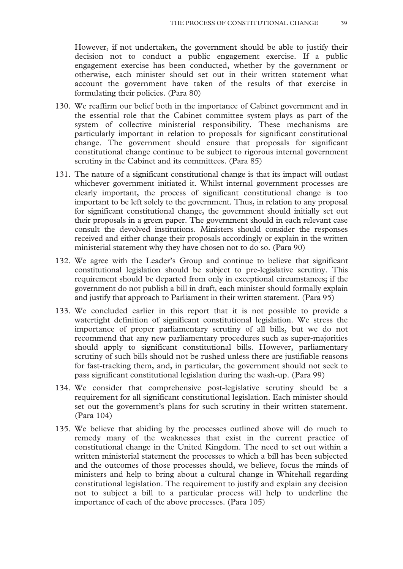However, if not undertaken, the government should be able to justify their decision not to conduct a public engagement exercise. If a public engagement exercise has been conducted, whether by the government or otherwise, each minister should set out in their written statement what account the government have taken of the results of that exercise in formulating their policies. (Para 80)

- 130. We reaffirm our belief both in the importance of Cabinet government and in the essential role that the Cabinet committee system plays as part of the system of collective ministerial responsibility. These mechanisms are particularly important in relation to proposals for significant constitutional change. The government should ensure that proposals for significant constitutional change continue to be subject to rigorous internal government scrutiny in the Cabinet and its committees. (Para 85)
- 131. The nature of a significant constitutional change is that its impact will outlast whichever government initiated it. Whilst internal government processes are clearly important, the process of significant constitutional change is too important to be left solely to the government. Thus, in relation to any proposal for significant constitutional change, the government should initially set out their proposals in a green paper. The government should in each relevant case consult the devolved institutions. Ministers should consider the responses received and either change their proposals accordingly or explain in the written ministerial statement why they have chosen not to do so. (Para 90)
- 132. We agree with the Leader's Group and continue to believe that significant constitutional legislation should be subject to pre-legislative scrutiny. This requirement should be departed from only in exceptional circumstances; if the government do not publish a bill in draft, each minister should formally explain and justify that approach to Parliament in their written statement. (Para 95)
- 133. We concluded earlier in this report that it is not possible to provide a watertight definition of significant constitutional legislation. We stress the importance of proper parliamentary scrutiny of all bills, but we do not recommend that any new parliamentary procedures such as super-majorities should apply to significant constitutional bills. However, parliamentary scrutiny of such bills should not be rushed unless there are justifiable reasons for fast-tracking them, and, in particular, the government should not seek to pass significant constitutional legislation during the wash-up. (Para 99)
- 134. We consider that comprehensive post-legislative scrutiny should be a requirement for all significant constitutional legislation. Each minister should set out the government's plans for such scrutiny in their written statement. (Para 104)
- 135. We believe that abiding by the processes outlined above will do much to remedy many of the weaknesses that exist in the current practice of constitutional change in the United Kingdom. The need to set out within a written ministerial statement the processes to which a bill has been subjected and the outcomes of those processes should, we believe, focus the minds of ministers and help to bring about a cultural change in Whitehall regarding constitutional legislation. The requirement to justify and explain any decision not to subject a bill to a particular process will help to underline the importance of each of the above processes. (Para 105)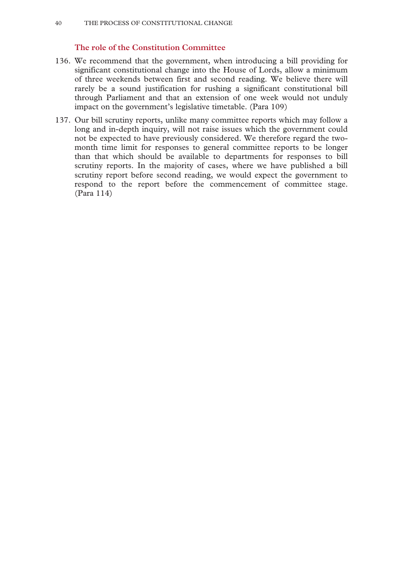# **The role of the Constitution Committee**

- 136. We recommend that the government, when introducing a bill providing for significant constitutional change into the House of Lords, allow a minimum of three weekends between first and second reading. We believe there will rarely be a sound justification for rushing a significant constitutional bill through Parliament and that an extension of one week would not unduly impact on the government's legislative timetable. (Para 109)
- 137. Our bill scrutiny reports, unlike many committee reports which may follow a long and in-depth inquiry, will not raise issues which the government could not be expected to have previously considered. We therefore regard the twomonth time limit for responses to general committee reports to be longer than that which should be available to departments for responses to bill scrutiny reports. In the majority of cases, where we have published a bill scrutiny report before second reading, we would expect the government to respond to the report before the commencement of committee stage. (Para 114)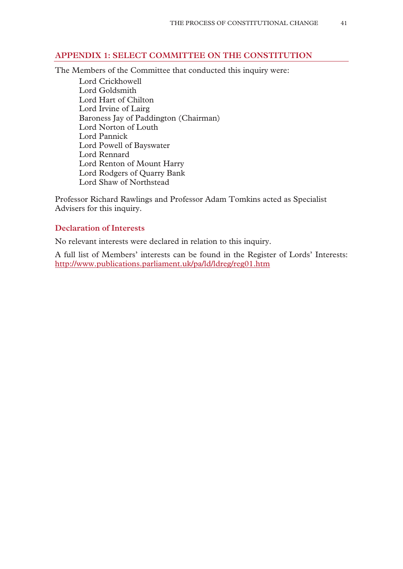# **APPENDIX 1: SELECT COMMITTEE ON THE CONSTITUTION**

The Members of the Committee that conducted this inquiry were:

Lord Crickhowell Lord Goldsmith Lord Hart of Chilton Lord Irvine of Lairg Baroness Jay of Paddington (Chairman) Lord Norton of Louth Lord Pannick Lord Powell of Bayswater Lord Rennard Lord Renton of Mount Harry Lord Rodgers of Quarry Bank Lord Shaw of Northstead

Professor Richard Rawlings and Professor Adam Tomkins acted as Specialist Advisers for this inquiry.

# **Declaration of Interests**

No relevant interests were declared in relation to this inquiry.

A full list of Members' interests can be found in the Register of Lords' Interests: <http://www.publications.parliament.uk/pa/ld/ldreg/reg01.htm>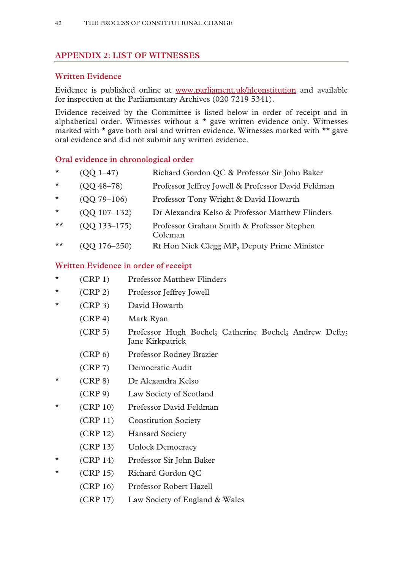# **APPENDIX 2: LIST OF WITNESSES**

#### **Written Evidence**

Evidence is published online at [www.parliament.uk/hlconstitution](http://www.parliament.uk/hlconstitution) and available for inspection at the Parliamentary Archives (020 7219 5341).

Evidence received by the Committee is listed below in order of receipt and in alphabetical order. Witnesses without a  $\star$  gave written evidence only. Witnesses marked with  $\star$  gave both oral and written evidence. Witnesses marked with  $\star\star$  gave oral evidence and did not submit any written evidence.

#### **Oral evidence in chronological order**

- \* (QQ 1–47) Richard Gordon QC & Professor Sir John Baker \* (QQ 48–78) Professor Jeffrey Jowell & Professor David Feldman \* (QQ 79–106) Professor Tony Wright & David Howarth \* (QQ 107–132) Dr Alexandra Kelso & Professor Matthew Flinders \*\* (QQ 133–175) Professor Graham Smith & Professor Stephen Coleman
- \*\* (QQ 176–250) Rt Hon Nick Clegg MP, Deputy Prime Minister

#### **Written Evidence in order of receipt**

- \* (CRP 1) Professor Matthew Flinders
- \* (CRP 2) Professor Jeffrey Jowell
- \* (CRP 3) David Howarth
	- (CRP 4) Mark Ryan
	- (CRP 5) Professor Hugh Bochel; Catherine Bochel; Andrew Defty; Jane Kirkpatrick
	- (CRP 6) Professor Rodney Brazier
	- (CRP 7) Democratic Audit
- \* (CRP 8) Dr Alexandra Kelso
	- (CRP 9) Law Society of Scotland
- \* (CRP 10) Professor David Feldman
	- (CRP 11) Constitution Society
	- (CRP 12) Hansard Society
	- (CRP 13) Unlock Democracy
- \* (CRP 14) Professor Sir John Baker
- \* (CRP 15) Richard Gordon QC
	- (CRP 16) Professor Robert Hazell
	- (CRP 17) Law Society of England & Wales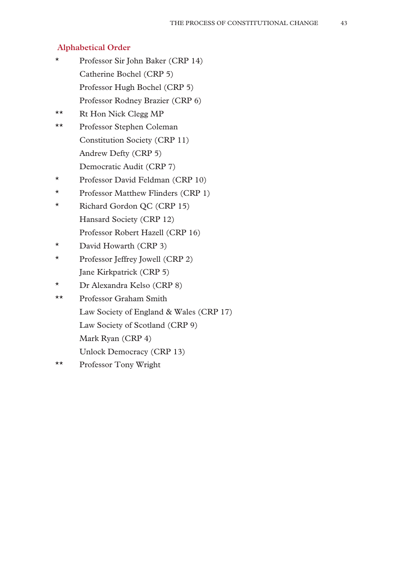# **Alphabetical Order**

- \* Professor Sir John Baker (CRP 14) Catherine Bochel (CRP 5) Professor Hugh Bochel (CRP 5) Professor Rodney Brazier (CRP 6)
- \*\* Rt Hon Nick Clegg MP
- \*\* Professor Stephen Coleman Constitution Society (CRP 11) Andrew Defty (CRP 5) Democratic Audit (CRP 7)
- \* Professor David Feldman (CRP 10)
- \* Professor Matthew Flinders (CRP 1)
- \* Richard Gordon QC (CRP 15) Hansard Society (CRP 12) Professor Robert Hazell (CRP 16)
- \* David Howarth (CRP 3)
- \* Professor Jeffrey Jowell (CRP 2) Jane Kirkpatrick (CRP 5)
- \* Dr Alexandra Kelso (CRP 8)
- \*\* Professor Graham Smith Law Society of England & Wales (CRP 17) Law Society of Scotland (CRP 9) Mark Ryan (CRP 4) Unlock Democracy (CRP 13)
- \*\* Professor Tony Wright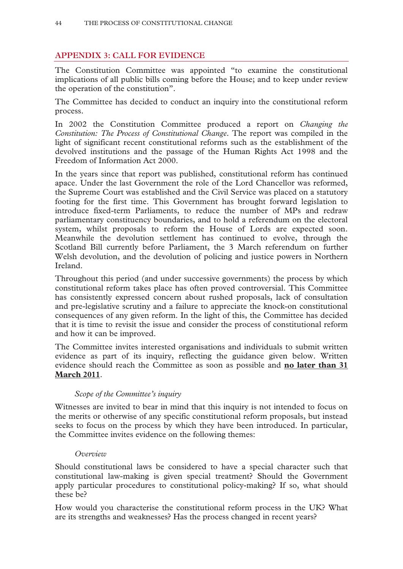# **APPENDIX 3: CALL FOR EVIDENCE**

The Constitution Committee was appointed "to examine the constitutional implications of all public bills coming before the House; and to keep under review the operation of the constitution".

The Committee has decided to conduct an inquiry into the constitutional reform process.

In 2002 the Constitution Committee produced a report on *Changing the Constitution: The Process of Constitutional Change*. The report was compiled in the light of significant recent constitutional reforms such as the establishment of the devolved institutions and the passage of the Human Rights Act 1998 and the Freedom of Information Act 2000.

In the years since that report was published, constitutional reform has continued apace. Under the last Government the role of the Lord Chancellor was reformed, the Supreme Court was established and the Civil Service was placed on a statutory footing for the first time. This Government has brought forward legislation to introduce fixed-term Parliaments, to reduce the number of MPs and redraw parliamentary constituency boundaries, and to hold a referendum on the electoral system, whilst proposals to reform the House of Lords are expected soon. Meanwhile the devolution settlement has continued to evolve, through the Scotland Bill currently before Parliament, the 3 March referendum on further Welsh devolution, and the devolution of policing and justice powers in Northern Ireland.

Throughout this period (and under successive governments) the process by which constitutional reform takes place has often proved controversial. This Committee has consistently expressed concern about rushed proposals, lack of consultation and pre-legislative scrutiny and a failure to appreciate the knock-on constitutional consequences of any given reform. In the light of this, the Committee has decided that it is time to revisit the issue and consider the process of constitutional reform and how it can be improved.

The Committee invites interested organisations and individuals to submit written evidence as part of its inquiry, reflecting the guidance given below. Written evidence should reach the Committee as soon as possible and **no later than 31 March 2011**.

#### *Scope of the Committee's inquiry*

Witnesses are invited to bear in mind that this inquiry is not intended to focus on the merits or otherwise of any specific constitutional reform proposals, but instead seeks to focus on the process by which they have been introduced. In particular, the Committee invites evidence on the following themes:

#### *Overview*

Should constitutional laws be considered to have a special character such that constitutional law-making is given special treatment? Should the Government apply particular procedures to constitutional policy-making? If so, what should these be?

How would you characterise the constitutional reform process in the UK? What are its strengths and weaknesses? Has the process changed in recent years?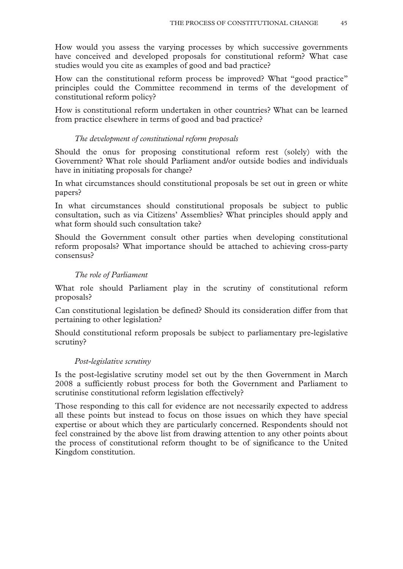How would you assess the varying processes by which successive governments have conceived and developed proposals for constitutional reform? What case studies would you cite as examples of good and bad practice?

How can the constitutional reform process be improved? What "good practice" principles could the Committee recommend in terms of the development of constitutional reform policy?

How is constitutional reform undertaken in other countries? What can be learned from practice elsewhere in terms of good and bad practice?

# *The development of constitutional reform proposals*

Should the onus for proposing constitutional reform rest (solely) with the Government? What role should Parliament and/or outside bodies and individuals have in initiating proposals for change?

In what circumstances should constitutional proposals be set out in green or white papers?

In what circumstances should constitutional proposals be subject to public consultation, such as via Citizens' Assemblies? What principles should apply and what form should such consultation take?

Should the Government consult other parties when developing constitutional reform proposals? What importance should be attached to achieving cross-party consensus?

# *The role of Parliament*

What role should Parliament play in the scrutiny of constitutional reform proposals?

Can constitutional legislation be defined? Should its consideration differ from that pertaining to other legislation?

Should constitutional reform proposals be subject to parliamentary pre-legislative scrutiny?

#### *Post-legislative scrutiny*

Is the post-legislative scrutiny model set out by the then Government in March 2008 a sufficiently robust process for both the Government and Parliament to scrutinise constitutional reform legislation effectively?

Those responding to this call for evidence are not necessarily expected to address all these points but instead to focus on those issues on which they have special expertise or about which they are particularly concerned. Respondents should not feel constrained by the above list from drawing attention to any other points about the process of constitutional reform thought to be of significance to the United Kingdom constitution.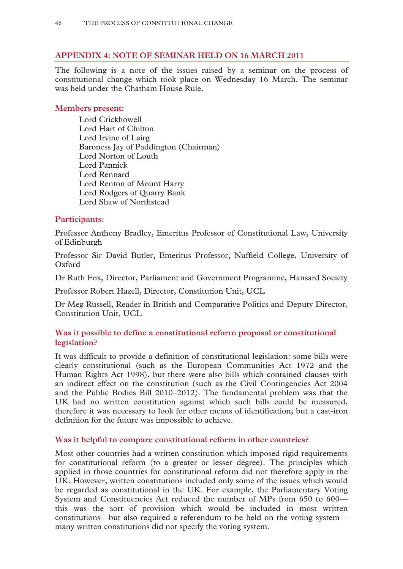# **APPENDIX 4: NOTE OF SEMINAR HELD ON 16 MARCH 2011**

The following is a note of the issues raised by a seminar on the process of constitutional change which took place on Wednesday 16 March. The seminar was held under the Chatham House Rule.

#### **Members present:**

Lord Crickhowell Lord Hart of Chilton Lord Irvine of Lairg Baroness Jay of Paddington (Chairman) Lord Norton of Louth Lord Pannick Lord Rennard Lord Renton of Mount Harry Lord Rodgers of Quarry Bank Lord Shaw of Northstead

# **Participants:**

Professor Anthony Bradley, Emeritus Professor of Constitutional Law, University of Edinburgh

Professor Sir David Butler, Emeritus Professor, Nuffield College, University of Oxford

Dr Ruth Fox, Director, Parliament and Government Programme, Hansard Society

Professor Robert Hazell, Director, Constitution Unit, UCL

Dr Meg Russell, Reader in British and Comparative Politics and Deputy Director, Constitution Unit, UCL

# **Was it possible to define a constitutional reform proposal or constitutional legislation?**

It was difficult to provide a definition of constitutional legislation: some bills were clearly constitutional (such as the European Communities Act 1972 and the Human Rights Act 1998), but there were also bills which contained clauses with an indirect effect on the constitution (such as the Civil Contingencies Act 2004 and the Public Bodies Bill 2010–2012). The fundamental problem was that the UK had no written constitution against which such bills could be measured, therefore it was necessary to look for other means of identification; but a cast-iron definition for the future was impossible to achieve.

# **Was it helpful to compare constitutional reform in other countries?**

Most other countries had a written constitution which imposed rigid requirements for constitutional reform (to a greater or lesser degree). The principles which applied in those countries for constitutional reform did not therefore apply in the UK. However, written constitutions included only some of the issues which would be regarded as constitutional in the UK. For example, the Parliamentary Voting System and Constituencies Act reduced the number of MPs from 650 to 600 this was the sort of provision which would be included in most written constitutions—but also required a referendum to be held on the voting system many written constitutions did not specify the voting system.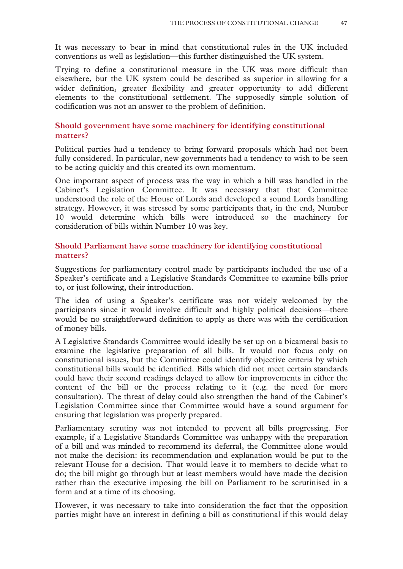It was necessary to bear in mind that constitutional rules in the UK included conventions as well as legislation—this further distinguished the UK system.

Trying to define a constitutional measure in the UK was more difficult than elsewhere, but the UK system could be described as superior in allowing for a wider definition, greater flexibility and greater opportunity to add different elements to the constitutional settlement. The supposedly simple solution of codification was not an answer to the problem of definition.

# **Should government have some machinery for identifying constitutional matters?**

Political parties had a tendency to bring forward proposals which had not been fully considered. In particular, new governments had a tendency to wish to be seen to be acting quickly and this created its own momentum.

One important aspect of process was the way in which a bill was handled in the Cabinet's Legislation Committee. It was necessary that that Committee understood the role of the House of Lords and developed a sound Lords handling strategy. However, it was stressed by some participants that, in the end, Number 10 would determine which bills were introduced so the machinery for consideration of bills within Number 10 was key.

# **Should Parliament have some machinery for identifying constitutional matters?**

Suggestions for parliamentary control made by participants included the use of a Speaker's certificate and a Legislative Standards Committee to examine bills prior to, or just following, their introduction.

The idea of using a Speaker's certificate was not widely welcomed by the participants since it would involve difficult and highly political decisions—there would be no straightforward definition to apply as there was with the certification of money bills.

A Legislative Standards Committee would ideally be set up on a bicameral basis to examine the legislative preparation of all bills. It would not focus only on constitutional issues, but the Committee could identify objective criteria by which constitutional bills would be identified. Bills which did not meet certain standards could have their second readings delayed to allow for improvements in either the content of the bill or the process relating to it (e.g. the need for more consultation). The threat of delay could also strengthen the hand of the Cabinet's Legislation Committee since that Committee would have a sound argument for ensuring that legislation was properly prepared.

Parliamentary scrutiny was not intended to prevent all bills progressing. For example, if a Legislative Standards Committee was unhappy with the preparation of a bill and was minded to recommend its deferral, the Committee alone would not make the decision: its recommendation and explanation would be put to the relevant House for a decision. That would leave it to members to decide what to do; the bill might go through but at least members would have made the decision rather than the executive imposing the bill on Parliament to be scrutinised in a form and at a time of its choosing.

However, it was necessary to take into consideration the fact that the opposition parties might have an interest in defining a bill as constitutional if this would delay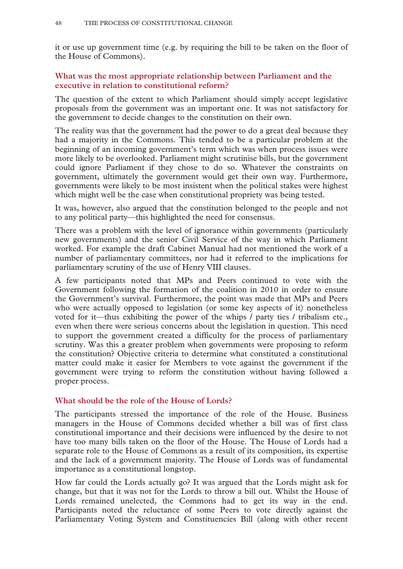it or use up government time (e.g. by requiring the bill to be taken on the floor of the House of Commons).

# **What was the most appropriate relationship between Parliament and the executive in relation to constitutional reform?**

The question of the extent to which Parliament should simply accept legislative proposals from the government was an important one. It was not satisfactory for the government to decide changes to the constitution on their own.

The reality was that the government had the power to do a great deal because they had a majority in the Commons. This tended to be a particular problem at the beginning of an incoming government's term which was when process issues were more likely to be overlooked. Parliament might scrutinise bills, but the government could ignore Parliament if they chose to do so. Whatever the constraints on government, ultimately the government would get their own way. Furthermore, governments were likely to be most insistent when the political stakes were highest which might well be the case when constitutional propriety was being tested.

It was, however, also argued that the constitution belonged to the people and not to any political party—this highlighted the need for consensus.

There was a problem with the level of ignorance within governments (particularly new governments) and the senior Civil Service of the way in which Parliament worked. For example the draft Cabinet Manual had not mentioned the work of a number of parliamentary committees, nor had it referred to the implications for parliamentary scrutiny of the use of Henry VIII clauses.

A few participants noted that MPs and Peers continued to vote with the Government following the formation of the coalition in 2010 in order to ensure the Government's survival. Furthermore, the point was made that MPs and Peers who were actually opposed to legislation (or some key aspects of it) nonetheless voted for it—thus exhibiting the power of the whips / party ties / tribalism etc., even when there were serious concerns about the legislation in question. This need to support the government created a difficulty for the process of parliamentary scrutiny. Was this a greater problem when governments were proposing to reform the constitution? Objective criteria to determine what constituted a constitutional matter could make it easier for Members to vote against the government if the government were trying to reform the constitution without having followed a proper process.

# **What should be the role of the House of Lords?**

The participants stressed the importance of the role of the House. Business managers in the House of Commons decided whether a bill was of first class constitutional importance and their decisions were influenced by the desire to not have too many bills taken on the floor of the House. The House of Lords had a separate role to the House of Commons as a result of its composition, its expertise and the lack of a government majority. The House of Lords was of fundamental importance as a constitutional longstop.

How far could the Lords actually go? It was argued that the Lords might ask for change, but that it was not for the Lords to throw a bill out. Whilst the House of Lords remained unelected, the Commons had to get its way in the end. Participants noted the reluctance of some Peers to vote directly against the Parliamentary Voting System and Constituencies Bill (along with other recent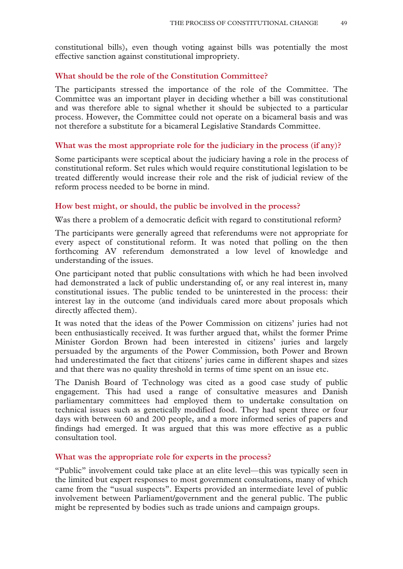constitutional bills), even though voting against bills was potentially the most effective sanction against constitutional impropriety.

#### **What should be the role of the Constitution Committee?**

The participants stressed the importance of the role of the Committee. The Committee was an important player in deciding whether a bill was constitutional and was therefore able to signal whether it should be subjected to a particular process. However, the Committee could not operate on a bicameral basis and was not therefore a substitute for a bicameral Legislative Standards Committee.

#### **What was the most appropriate role for the judiciary in the process (if any)?**

Some participants were sceptical about the judiciary having a role in the process of constitutional reform. Set rules which would require constitutional legislation to be treated differently would increase their role and the risk of judicial review of the reform process needed to be borne in mind.

#### **How best might, or should, the public be involved in the process?**

Was there a problem of a democratic deficit with regard to constitutional reform?

The participants were generally agreed that referendums were not appropriate for every aspect of constitutional reform. It was noted that polling on the then forthcoming AV referendum demonstrated a low level of knowledge and understanding of the issues.

One participant noted that public consultations with which he had been involved had demonstrated a lack of public understanding of, or any real interest in, many constitutional issues. The public tended to be uninterested in the process: their interest lay in the outcome (and individuals cared more about proposals which directly affected them).

It was noted that the ideas of the Power Commission on citizens' juries had not been enthusiastically received. It was further argued that, whilst the former Prime Minister Gordon Brown had been interested in citizens' juries and largely persuaded by the arguments of the Power Commission, both Power and Brown had underestimated the fact that citizens' juries came in different shapes and sizes and that there was no quality threshold in terms of time spent on an issue etc.

The Danish Board of Technology was cited as a good case study of public engagement. This had used a range of consultative measures and Danish parliamentary committees had employed them to undertake consultation on technical issues such as genetically modified food. They had spent three or four days with between 60 and 200 people, and a more informed series of papers and findings had emerged. It was argued that this was more effective as a public consultation tool.

# **What was the appropriate role for experts in the process?**

"Public" involvement could take place at an elite level—this was typically seen in the limited but expert responses to most government consultations, many of which came from the "usual suspects". Experts provided an intermediate level of public involvement between Parliament/government and the general public. The public might be represented by bodies such as trade unions and campaign groups.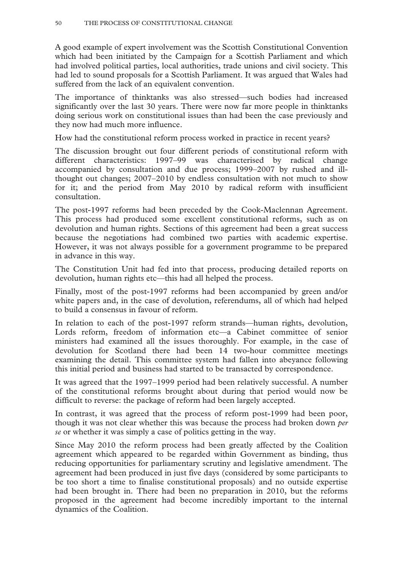A good example of expert involvement was the Scottish Constitutional Convention which had been initiated by the Campaign for a Scottish Parliament and which had involved political parties, local authorities, trade unions and civil society. This had led to sound proposals for a Scottish Parliament. It was argued that Wales had suffered from the lack of an equivalent convention.

The importance of thinktanks was also stressed—such bodies had increased significantly over the last 30 years. There were now far more people in thinktanks doing serious work on constitutional issues than had been the case previously and they now had much more influence.

How had the constitutional reform process worked in practice in recent years?

The discussion brought out four different periods of constitutional reform with different characteristics: 1997–99 was characterised by radical change accompanied by consultation and due process; 1999–2007 by rushed and illthought out changes; 2007–2010 by endless consultation with not much to show for it; and the period from May 2010 by radical reform with insufficient consultation.

The post-1997 reforms had been preceded by the Cook-Maclennan Agreement. This process had produced some excellent constitutional reforms, such as on devolution and human rights. Sections of this agreement had been a great success because the negotiations had combined two parties with academic expertise. However, it was not always possible for a government programme to be prepared in advance in this way.

The Constitution Unit had fed into that process, producing detailed reports on devolution, human rights etc—this had all helped the process.

Finally, most of the post-1997 reforms had been accompanied by green and/or white papers and, in the case of devolution, referendums, all of which had helped to build a consensus in favour of reform.

In relation to each of the post-1997 reform strands—human rights, devolution, Lords reform, freedom of information etc—a Cabinet committee of senior ministers had examined all the issues thoroughly. For example, in the case of devolution for Scotland there had been 14 two-hour committee meetings examining the detail. This committee system had fallen into abeyance following this initial period and business had started to be transacted by correspondence.

It was agreed that the 1997–1999 period had been relatively successful. A number of the constitutional reforms brought about during that period would now be difficult to reverse: the package of reform had been largely accepted.

In contrast, it was agreed that the process of reform post-1999 had been poor, though it was not clear whether this was because the process had broken down *per se* or whether it was simply a case of politics getting in the way.

Since May 2010 the reform process had been greatly affected by the Coalition agreement which appeared to be regarded within Government as binding, thus reducing opportunities for parliamentary scrutiny and legislative amendment. The agreement had been produced in just five days (considered by some participants to be too short a time to finalise constitutional proposals) and no outside expertise had been brought in. There had been no preparation in 2010, but the reforms proposed in the agreement had become incredibly important to the internal dynamics of the Coalition.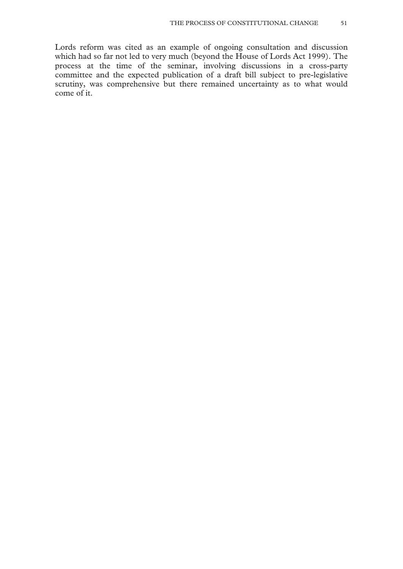Lords reform was cited as an example of ongoing consultation and discussion which had so far not led to very much (beyond the House of Lords Act 1999). The process at the time of the seminar, involving discussions in a cross-party committee and the expected publication of a draft bill subject to pre-legislative scrutiny, was comprehensive but there remained uncertainty as to what would come of it.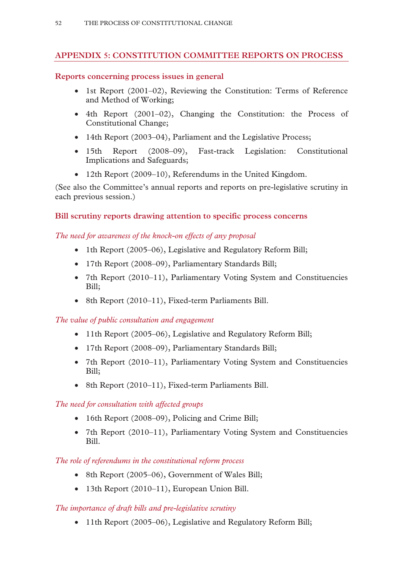# **APPENDIX 5: CONSTITUTION COMMITTEE REPORTS ON PROCESS**

# **Reports concerning process issues in general**

- 1st Report (2001–02), Reviewing the Constitution: Terms of Reference and Method of Working;
- 4th Report (2001–02), Changing the Constitution: the Process of Constitutional Change;
- 14th Report (2003–04), Parliament and the Legislative Process;
- 15th Report (2008–09), Fast-track Legislation: Constitutional Implications and Safeguards;
- 12th Report (2009–10), Referendums in the United Kingdom.

(See also the Committee's annual reports and reports on pre-legislative scrutiny in each previous session.)

# **Bill scrutiny reports drawing attention to specific process concerns**

# *The need for awareness of the knock-on effects of any proposal*

- 1th Report (2005–06), Legislative and Regulatory Reform Bill;
- 17th Report (2008–09), Parliamentary Standards Bill;
- 7th Report (2010–11), Parliamentary Voting System and Constituencies Bill;
- 8th Report (2010–11), Fixed-term Parliaments Bill.

# *The value of public consultation and engagement*

- 11th Report (2005–06), Legislative and Regulatory Reform Bill;
- 17th Report (2008–09), Parliamentary Standards Bill;
- 7th Report (2010–11), Parliamentary Voting System and Constituencies Bill;
- 8th Report (2010–11), Fixed-term Parliaments Bill.

# *The need for consultation with affected groups*

- 16th Report (2008–09), Policing and Crime Bill;
- 7th Report (2010–11), Parliamentary Voting System and Constituencies Bill.

# *The role of referendums in the constitutional reform process*

- 8th Report (2005–06), Government of Wales Bill;
- 13th Report (2010–11), European Union Bill.

# *The importance of draft bills and pre-legislative scrutiny*

• 11th Report (2005–06), Legislative and Regulatory Reform Bill;